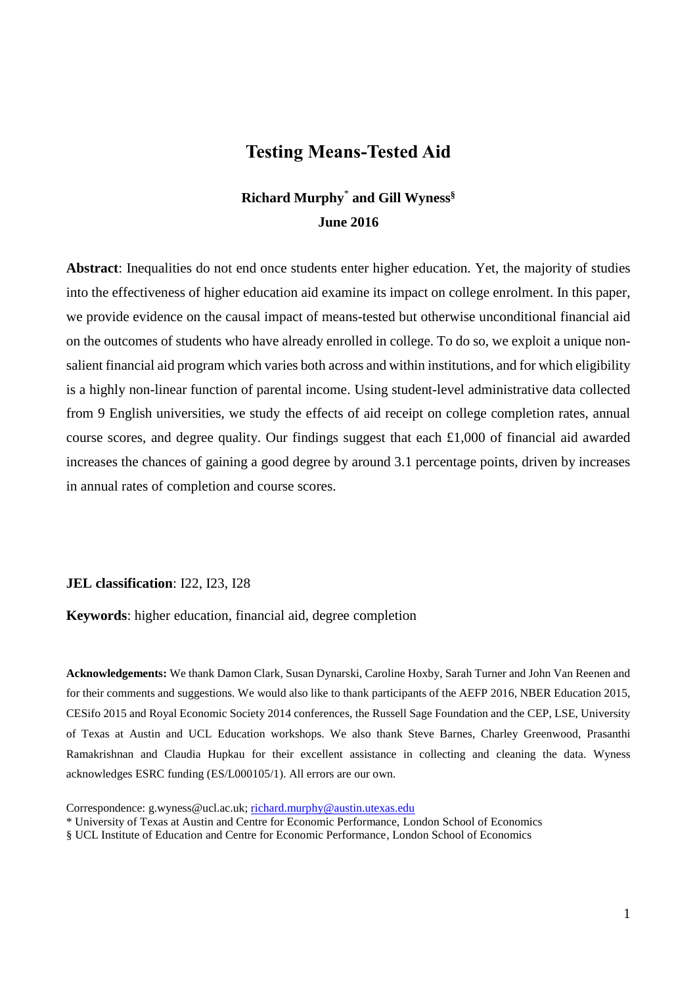# **Testing Means-Tested Aid**

# **Richard Murphy**\* **and Gill Wyness§ June 2016**

**Abstract**: Inequalities do not end once students enter higher education. Yet, the majority of studies into the effectiveness of higher education aid examine its impact on college enrolment. In this paper, we provide evidence on the causal impact of means-tested but otherwise unconditional financial aid on the outcomes of students who have already enrolled in college. To do so, we exploit a unique nonsalient financial aid program which varies both across and within institutions, and for which eligibility is a highly non-linear function of parental income. Using student-level administrative data collected from 9 English universities, we study the effects of aid receipt on college completion rates, annual course scores, and degree quality. Our findings suggest that each £1,000 of financial aid awarded increases the chances of gaining a good degree by around 3.1 percentage points, driven by increases in annual rates of completion and course scores.

### **JEL classification**: I22, I23, I28

**Keywords**: higher education, financial aid, degree completion

**Acknowledgements:** We thank Damon Clark, Susan Dynarski, Caroline Hoxby, Sarah Turner and John Van Reenen and for their comments and suggestions. We would also like to thank participants of the AEFP 2016, NBER Education 2015, CESifo 2015 and Royal Economic Society 2014 conferences, the Russell Sage Foundation and the CEP, LSE, University of Texas at Austin and UCL Education workshops. We also thank Steve Barnes, Charley Greenwood, Prasanthi Ramakrishnan and Claudia Hupkau for their excellent assistance in collecting and cleaning the data. Wyness acknowledges ESRC funding (ES/L000105/1). All errors are our own.

Correspondence: g.wyness@ucl.ac.uk; [richard.murphy@austin.utexas.edu](mailto:richard.murphy@austin.utexas.edu)

<sup>\*</sup> University of Texas at Austin and Centre for Economic Performance, London School of Economics

<sup>§</sup> UCL Institute of Education and Centre for Economic Performance, London School of Economics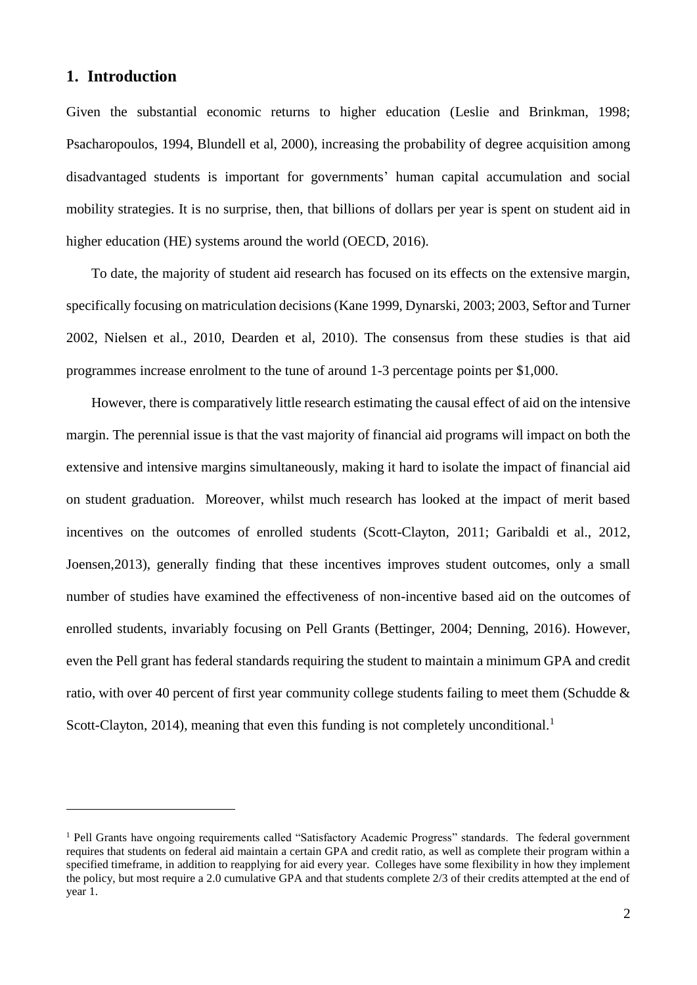# **1. Introduction**

<u>.</u>

Given the substantial economic returns to higher education (Leslie and Brinkman, 1998; Psacharopoulos, 1994, Blundell et al, 2000), increasing the probability of degree acquisition among disadvantaged students is important for governments' human capital accumulation and social mobility strategies. It is no surprise, then, that billions of dollars per year is spent on student aid in higher education (HE) systems around the world (OECD, 2016).

To date, the majority of student aid research has focused on its effects on the extensive margin, specifically focusing on matriculation decisions (Kane 1999, Dynarski, 2003; 2003, Seftor and Turner 2002, Nielsen et al., 2010, Dearden et al, 2010). The consensus from these studies is that aid programmes increase enrolment to the tune of around 1-3 percentage points per \$1,000.

However, there is comparatively little research estimating the causal effect of aid on the intensive margin. The perennial issue is that the vast majority of financial aid programs will impact on both the extensive and intensive margins simultaneously, making it hard to isolate the impact of financial aid on student graduation. Moreover, whilst much research has looked at the impact of merit based incentives on the outcomes of enrolled students (Scott-Clayton, 2011; Garibaldi et al., 2012, Joensen,2013), generally finding that these incentives improves student outcomes, only a small number of studies have examined the effectiveness of non-incentive based aid on the outcomes of enrolled students, invariably focusing on Pell Grants (Bettinger, 2004; Denning, 2016). However, even the Pell grant has federal standards requiring the student to maintain a minimum GPA and credit ratio, with over 40 percent of first year community college students failing to meet them (Schudde & Scott-Clayton, 2014), meaning that even this funding is not completely unconditional.<sup>1</sup>

<sup>&</sup>lt;sup>1</sup> Pell Grants have ongoing requirements called "Satisfactory Academic Progress" standards. The federal government requires that students on federal aid maintain a certain GPA and credit ratio, as well as complete their program within a specified timeframe, in addition to reapplying for aid every year. Colleges have some flexibility in how they implement the policy, but most require a 2.0 cumulative GPA and that students complete 2/3 of their credits attempted at the end of year 1.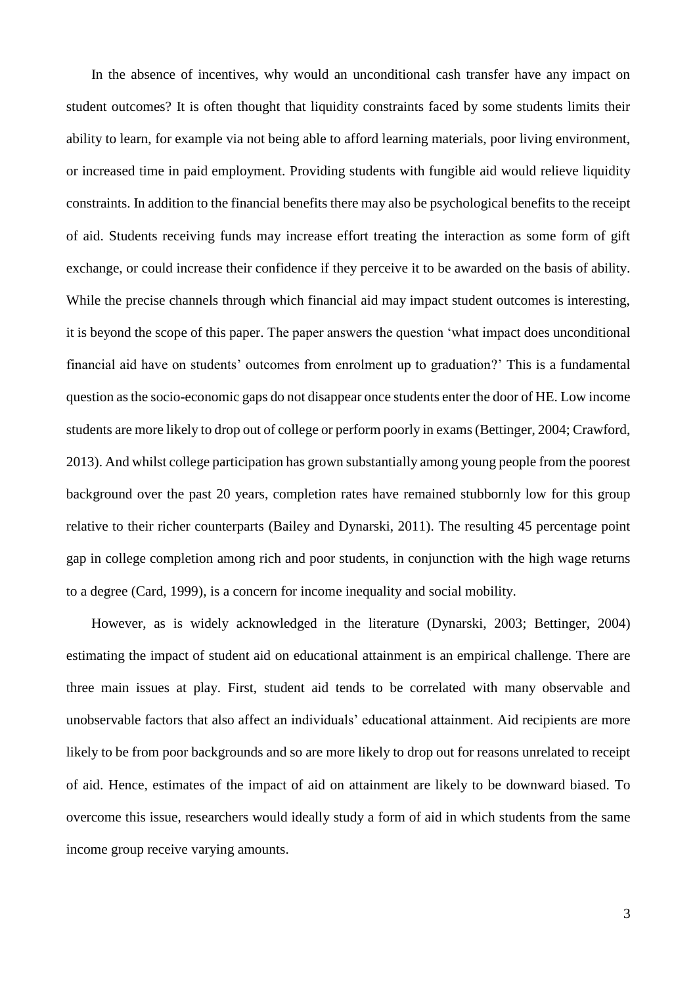In the absence of incentives, why would an unconditional cash transfer have any impact on student outcomes? It is often thought that liquidity constraints faced by some students limits their ability to learn, for example via not being able to afford learning materials, poor living environment, or increased time in paid employment. Providing students with fungible aid would relieve liquidity constraints. In addition to the financial benefits there may also be psychological benefits to the receipt of aid. Students receiving funds may increase effort treating the interaction as some form of gift exchange, or could increase their confidence if they perceive it to be awarded on the basis of ability. While the precise channels through which financial aid may impact student outcomes is interesting, it is beyond the scope of this paper. The paper answers the question 'what impact does unconditional financial aid have on students' outcomes from enrolment up to graduation?' This is a fundamental question as the socio-economic gaps do not disappear once students enter the door of HE. Low income students are more likely to drop out of college or perform poorly in exams (Bettinger, 2004; Crawford, 2013). And whilst college participation has grown substantially among young people from the poorest background over the past 20 years, completion rates have remained stubbornly low for this group relative to their richer counterparts (Bailey and Dynarski, 2011). The resulting 45 percentage point gap in college completion among rich and poor students, in conjunction with the high wage returns to a degree (Card, 1999), is a concern for income inequality and social mobility.

However, as is widely acknowledged in the literature (Dynarski, 2003; Bettinger, 2004) estimating the impact of student aid on educational attainment is an empirical challenge. There are three main issues at play. First, student aid tends to be correlated with many observable and unobservable factors that also affect an individuals' educational attainment. Aid recipients are more likely to be from poor backgrounds and so are more likely to drop out for reasons unrelated to receipt of aid. Hence, estimates of the impact of aid on attainment are likely to be downward biased. To overcome this issue, researchers would ideally study a form of aid in which students from the same income group receive varying amounts.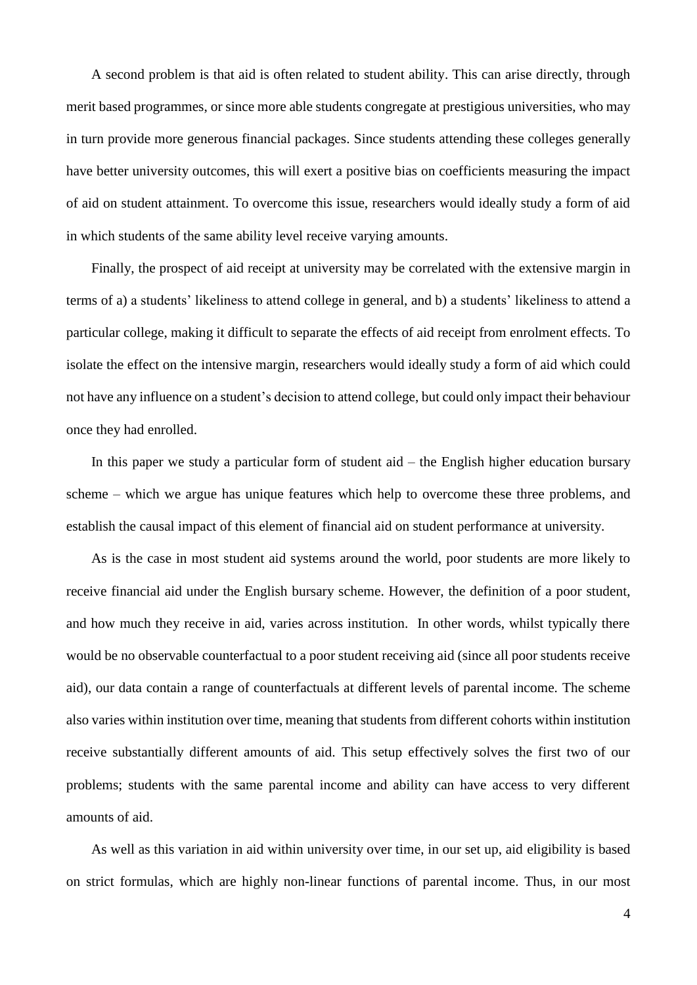A second problem is that aid is often related to student ability. This can arise directly, through merit based programmes, or since more able students congregate at prestigious universities, who may in turn provide more generous financial packages. Since students attending these colleges generally have better university outcomes, this will exert a positive bias on coefficients measuring the impact of aid on student attainment. To overcome this issue, researchers would ideally study a form of aid in which students of the same ability level receive varying amounts.

Finally, the prospect of aid receipt at university may be correlated with the extensive margin in terms of a) a students' likeliness to attend college in general, and b) a students' likeliness to attend a particular college, making it difficult to separate the effects of aid receipt from enrolment effects. To isolate the effect on the intensive margin, researchers would ideally study a form of aid which could not have any influence on a student's decision to attend college, but could only impact their behaviour once they had enrolled.

In this paper we study a particular form of student aid  $-$  the English higher education bursary scheme – which we argue has unique features which help to overcome these three problems, and establish the causal impact of this element of financial aid on student performance at university.

As is the case in most student aid systems around the world, poor students are more likely to receive financial aid under the English bursary scheme. However, the definition of a poor student, and how much they receive in aid, varies across institution. In other words, whilst typically there would be no observable counterfactual to a poor student receiving aid (since all poor students receive aid), our data contain a range of counterfactuals at different levels of parental income. The scheme also varies within institution over time, meaning that students from different cohorts within institution receive substantially different amounts of aid. This setup effectively solves the first two of our problems; students with the same parental income and ability can have access to very different amounts of aid.

As well as this variation in aid within university over time, in our set up, aid eligibility is based on strict formulas, which are highly non-linear functions of parental income. Thus, in our most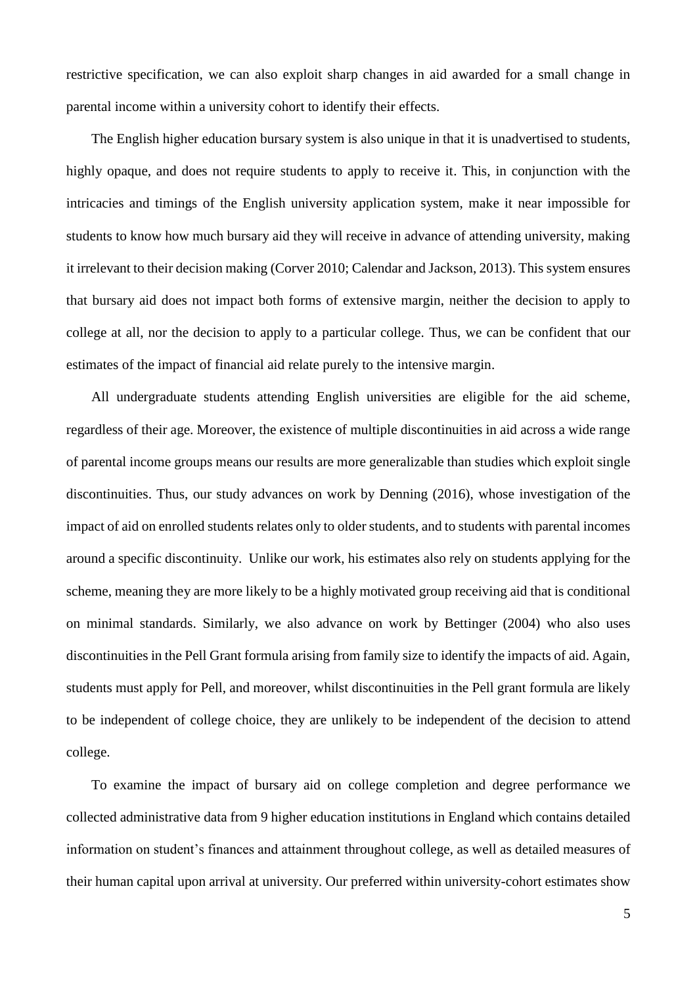restrictive specification, we can also exploit sharp changes in aid awarded for a small change in parental income within a university cohort to identify their effects.

The English higher education bursary system is also unique in that it is unadvertised to students, highly opaque, and does not require students to apply to receive it. This, in conjunction with the intricacies and timings of the English university application system, make it near impossible for students to know how much bursary aid they will receive in advance of attending university, making it irrelevant to their decision making (Corver 2010; Calendar and Jackson, 2013). This system ensures that bursary aid does not impact both forms of extensive margin, neither the decision to apply to college at all, nor the decision to apply to a particular college. Thus, we can be confident that our estimates of the impact of financial aid relate purely to the intensive margin.

All undergraduate students attending English universities are eligible for the aid scheme, regardless of their age. Moreover, the existence of multiple discontinuities in aid across a wide range of parental income groups means our results are more generalizable than studies which exploit single discontinuities. Thus, our study advances on work by Denning (2016), whose investigation of the impact of aid on enrolled students relates only to older students, and to students with parental incomes around a specific discontinuity. Unlike our work, his estimates also rely on students applying for the scheme, meaning they are more likely to be a highly motivated group receiving aid that is conditional on minimal standards. Similarly, we also advance on work by Bettinger (2004) who also uses discontinuities in the Pell Grant formula arising from family size to identify the impacts of aid. Again, students must apply for Pell, and moreover, whilst discontinuities in the Pell grant formula are likely to be independent of college choice, they are unlikely to be independent of the decision to attend college.

To examine the impact of bursary aid on college completion and degree performance we collected administrative data from 9 higher education institutions in England which contains detailed information on student's finances and attainment throughout college, as well as detailed measures of their human capital upon arrival at university. Our preferred within university-cohort estimates show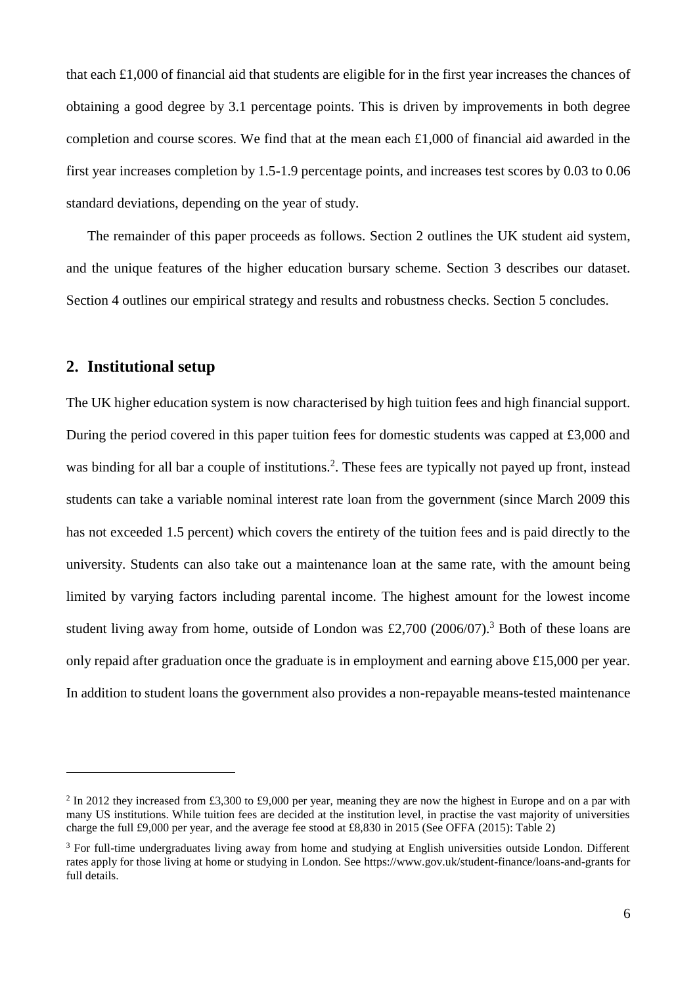that each £1,000 of financial aid that students are eligible for in the first year increases the chances of obtaining a good degree by 3.1 percentage points. This is driven by improvements in both degree completion and course scores. We find that at the mean each £1,000 of financial aid awarded in the first year increases completion by 1.5-1.9 percentage points, and increases test scores by 0.03 to 0.06 standard deviations, depending on the year of study.

The remainder of this paper proceeds as follows. Section 2 outlines the UK student aid system, and the unique features of the higher education bursary scheme. Section 3 describes our dataset. Section 4 outlines our empirical strategy and results and robustness checks. Section 5 concludes.

# **2. Institutional setup**

1

The UK higher education system is now characterised by high tuition fees and high financial support. During the period covered in this paper tuition fees for domestic students was capped at £3,000 and was binding for all bar a couple of institutions.<sup>2</sup>. These fees are typically not payed up front, instead students can take a variable nominal interest rate loan from the government (since March 2009 this has not exceeded 1.5 percent) which covers the entirety of the tuition fees and is paid directly to the university. Students can also take out a maintenance loan at the same rate, with the amount being limited by varying factors including parental income. The highest amount for the lowest income student living away from home, outside of London was £2,700 (2006/07).<sup>3</sup> Both of these loans are only repaid after graduation once the graduate is in employment and earning above £15,000 per year. In addition to student loans the government also provides a non-repayable means-tested maintenance

<sup>&</sup>lt;sup>2</sup> In 2012 they increased from £3,300 to £9,000 per year, meaning they are now the highest in Europe and on a par with many US institutions. While tuition fees are decided at the institution level, in practise the vast majority of universities charge the full £9,000 per year, and the average fee stood at £8,830 in 2015 (See OFFA (2015): Table 2)

<sup>&</sup>lt;sup>3</sup> For full-time undergraduates living away from home and studying at English universities outside London. Different rates apply for those living at home or studying in London. See https://www.gov.uk/student-finance/loans-and-grants for full details.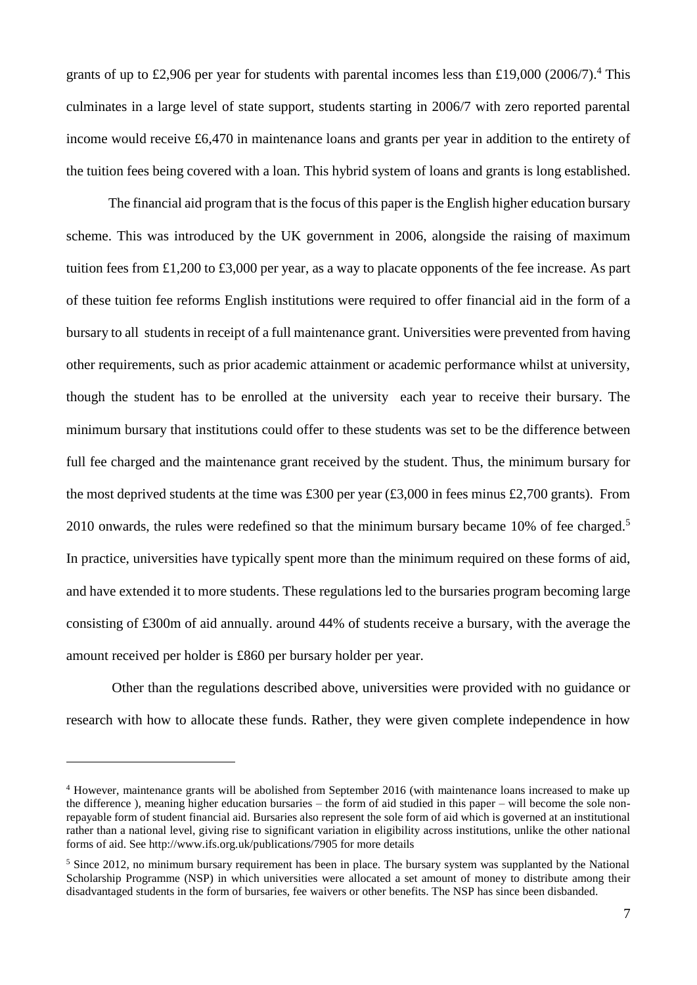grants of up to £2,906 per year for students with parental incomes less than £19,000 (2006/7).<sup>4</sup> This culminates in a large level of state support, students starting in 2006/7 with zero reported parental income would receive £6,470 in maintenance loans and grants per year in addition to the entirety of the tuition fees being covered with a loan. This hybrid system of loans and grants is long established.

The financial aid program that is the focus of this paper is the English higher education bursary scheme. This was introduced by the UK government in 2006, alongside the raising of maximum tuition fees from £1,200 to £3,000 per year, as a way to placate opponents of the fee increase. As part of these tuition fee reforms English institutions were required to offer financial aid in the form of a bursary to all students in receipt of a full maintenance grant. Universities were prevented from having other requirements, such as prior academic attainment or academic performance whilst at university, though the student has to be enrolled at the university each year to receive their bursary. The minimum bursary that institutions could offer to these students was set to be the difference between full fee charged and the maintenance grant received by the student. Thus, the minimum bursary for the most deprived students at the time was £300 per year (£3,000 in fees minus £2,700 grants). From 2010 onwards, the rules were redefined so that the minimum bursary became 10% of fee charged.<sup>5</sup> In practice, universities have typically spent more than the minimum required on these forms of aid, and have extended it to more students. These regulations led to the bursaries program becoming large consisting of £300m of aid annually. around 44% of students receive a bursary, with the average the amount received per holder is £860 per bursary holder per year.

Other than the regulations described above, universities were provided with no guidance or research with how to allocate these funds. Rather, they were given complete independence in how

<u>.</u>

<sup>4</sup> However, maintenance grants will be abolished from September 2016 (with maintenance loans increased to make up the difference ), meaning higher education bursaries – the form of aid studied in this paper – will become the sole nonrepayable form of student financial aid. Bursaries also represent the sole form of aid which is governed at an institutional rather than a national level, giving rise to significant variation in eligibility across institutions, unlike the other national forms of aid. See http://www.ifs.org.uk/publications/7905 for more details

<sup>&</sup>lt;sup>5</sup> Since 2012, no minimum bursary requirement has been in place. The bursary system was supplanted by the National Scholarship Programme (NSP) in which universities were allocated a set amount of money to distribute among their disadvantaged students in the form of bursaries, fee waivers or other benefits. The NSP has since been disbanded.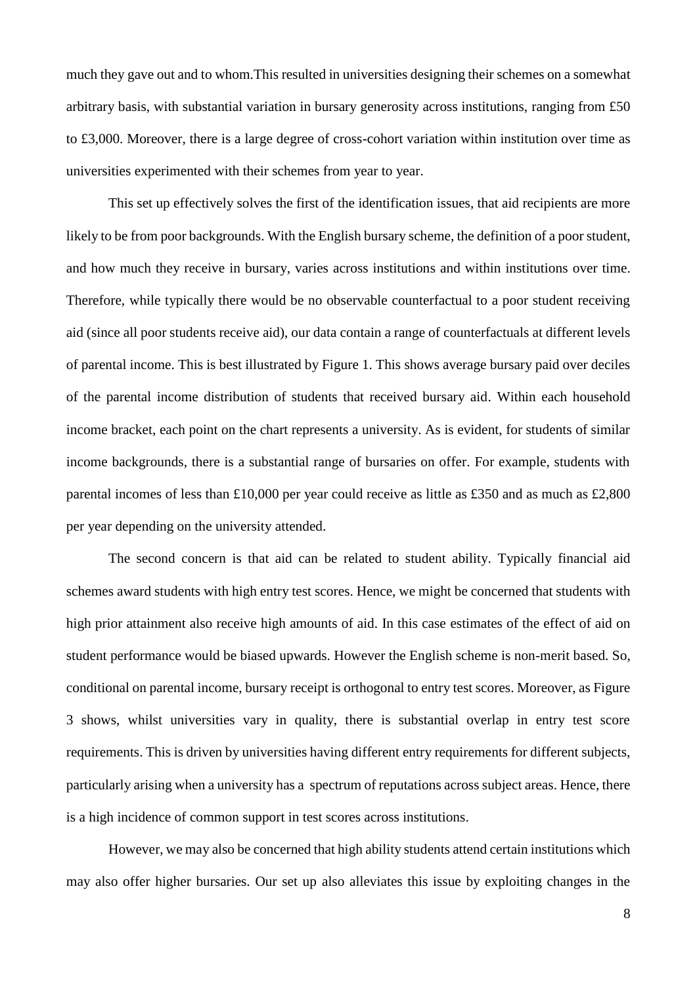much they gave out and to whom.This resulted in universities designing their schemes on a somewhat arbitrary basis, with substantial variation in bursary generosity across institutions, ranging from £50 to £3,000. Moreover, there is a large degree of cross-cohort variation within institution over time as universities experimented with their schemes from year to year.

This set up effectively solves the first of the identification issues, that aid recipients are more likely to be from poor backgrounds. With the English bursary scheme, the definition of a poor student, and how much they receive in bursary, varies across institutions and within institutions over time. Therefore, while typically there would be no observable counterfactual to a poor student receiving aid (since all poor students receive aid), our data contain a range of counterfactuals at different levels of parental income. This is best illustrated by Figure 1. This shows average bursary paid over deciles of the parental income distribution of students that received bursary aid. Within each household income bracket, each point on the chart represents a university. As is evident, for students of similar income backgrounds, there is a substantial range of bursaries on offer. For example, students with parental incomes of less than £10,000 per year could receive as little as £350 and as much as £2,800 per year depending on the university attended.

The second concern is that aid can be related to student ability. Typically financial aid schemes award students with high entry test scores. Hence, we might be concerned that students with high prior attainment also receive high amounts of aid. In this case estimates of the effect of aid on student performance would be biased upwards. However the English scheme is non-merit based. So, conditional on parental income, bursary receipt is orthogonal to entry test scores. Moreover, as Figure 3 shows, whilst universities vary in quality, there is substantial overlap in entry test score requirements. This is driven by universities having different entry requirements for different subjects, particularly arising when a university has a spectrum of reputations across subject areas. Hence, there is a high incidence of common support in test scores across institutions.

However, we may also be concerned that high ability students attend certain institutions which may also offer higher bursaries. Our set up also alleviates this issue by exploiting changes in the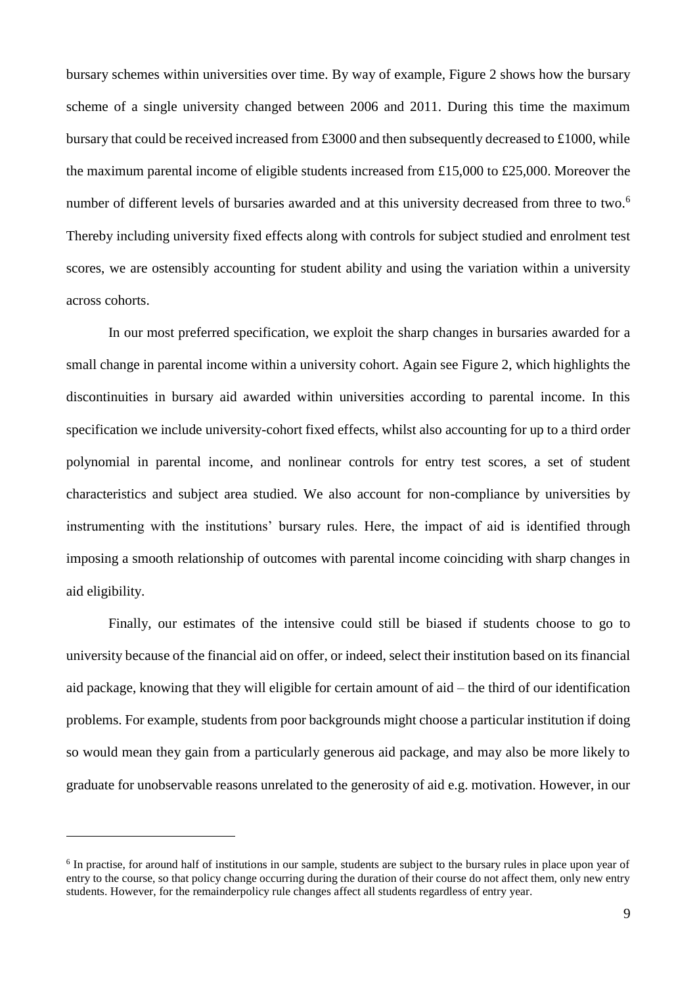bursary schemes within universities over time. By way of example, Figure 2 shows how the bursary scheme of a single university changed between 2006 and 2011. During this time the maximum bursary that could be received increased from £3000 and then subsequently decreased to £1000, while the maximum parental income of eligible students increased from £15,000 to £25,000. Moreover the number of different levels of bursaries awarded and at this university decreased from three to two.<sup>6</sup> Thereby including university fixed effects along with controls for subject studied and enrolment test scores, we are ostensibly accounting for student ability and using the variation within a university across cohorts.

In our most preferred specification, we exploit the sharp changes in bursaries awarded for a small change in parental income within a university cohort. Again see Figure 2, which highlights the discontinuities in bursary aid awarded within universities according to parental income. In this specification we include university-cohort fixed effects, whilst also accounting for up to a third order polynomial in parental income, and nonlinear controls for entry test scores, a set of student characteristics and subject area studied. We also account for non-compliance by universities by instrumenting with the institutions' bursary rules. Here, the impact of aid is identified through imposing a smooth relationship of outcomes with parental income coinciding with sharp changes in aid eligibility.

Finally, our estimates of the intensive could still be biased if students choose to go to university because of the financial aid on offer, or indeed, select their institution based on its financial aid package, knowing that they will eligible for certain amount of aid – the third of our identification problems. For example, students from poor backgrounds might choose a particular institution if doing so would mean they gain from a particularly generous aid package, and may also be more likely to graduate for unobservable reasons unrelated to the generosity of aid e.g. motivation. However, in our

<sup>&</sup>lt;sup>6</sup> In practise, for around half of institutions in our sample, students are subject to the bursary rules in place upon year of entry to the course, so that policy change occurring during the duration of their course do not affect them, only new entry students. However, for the remainderpolicy rule changes affect all students regardless of entry year.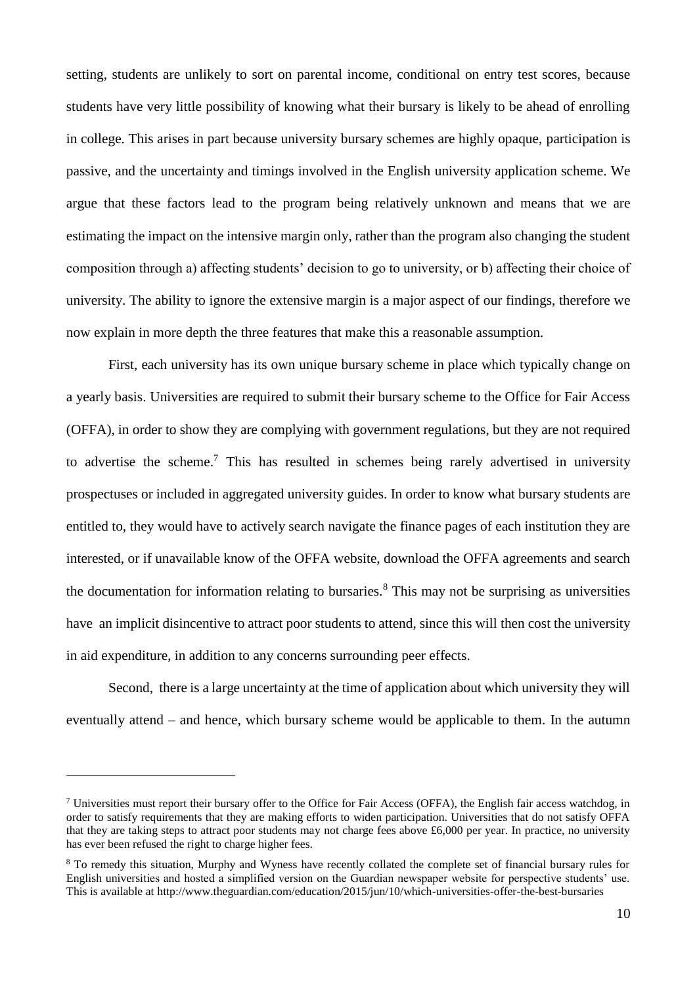setting, students are unlikely to sort on parental income, conditional on entry test scores, because students have very little possibility of knowing what their bursary is likely to be ahead of enrolling in college. This arises in part because university bursary schemes are highly opaque, participation is passive, and the uncertainty and timings involved in the English university application scheme. We argue that these factors lead to the program being relatively unknown and means that we are estimating the impact on the intensive margin only, rather than the program also changing the student composition through a) affecting students' decision to go to university, or b) affecting their choice of university. The ability to ignore the extensive margin is a major aspect of our findings, therefore we now explain in more depth the three features that make this a reasonable assumption.

First, each university has its own unique bursary scheme in place which typically change on a yearly basis. Universities are required to submit their bursary scheme to the Office for Fair Access (OFFA), in order to show they are complying with government regulations, but they are not required to advertise the scheme.<sup>7</sup> This has resulted in schemes being rarely advertised in university prospectuses or included in aggregated university guides. In order to know what bursary students are entitled to, they would have to actively search navigate the finance pages of each institution they are interested, or if unavailable know of the OFFA website, download the OFFA agreements and search the documentation for information relating to bursaries.<sup>8</sup> This may not be surprising as universities have an implicit disincentive to attract poor students to attend, since this will then cost the university in aid expenditure, in addition to any concerns surrounding peer effects.

Second, there is a large uncertainty at the time of application about which university they will eventually attend – and hence, which bursary scheme would be applicable to them. In the autumn

<sup>7</sup> Universities must report their bursary offer to the Office for Fair Access (OFFA), the English fair access watchdog, in order to satisfy requirements that they are making efforts to widen participation. Universities that do not satisfy OFFA that they are taking steps to attract poor students may not charge fees above £6,000 per year. In practice, no university has ever been refused the right to charge higher fees.

<sup>&</sup>lt;sup>8</sup> To remedy this situation, Murphy and Wyness have recently collated the complete set of financial bursary rules for English universities and hosted a simplified version on the Guardian newspaper website for perspective students' use. This is available at http://www.theguardian.com/education/2015/jun/10/which-universities-offer-the-best-bursaries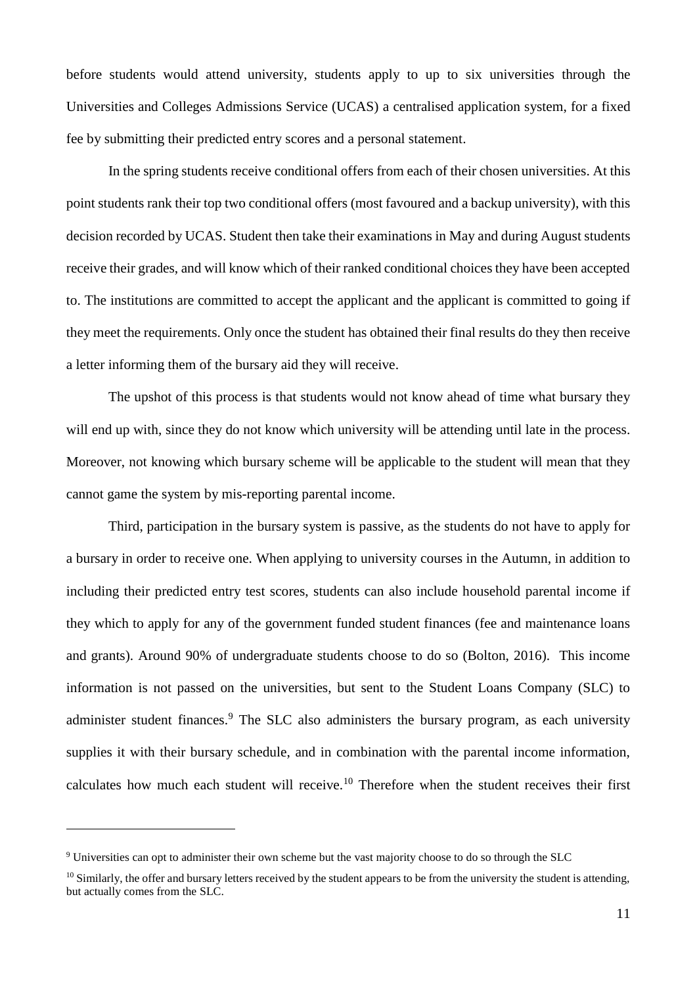before students would attend university, students apply to up to six universities through the Universities and Colleges Admissions Service (UCAS) a centralised application system, for a fixed fee by submitting their predicted entry scores and a personal statement.

In the spring students receive conditional offers from each of their chosen universities. At this point students rank their top two conditional offers (most favoured and a backup university), with this decision recorded by UCAS. Student then take their examinations in May and during August students receive their grades, and will know which of their ranked conditional choices they have been accepted to. The institutions are committed to accept the applicant and the applicant is committed to going if they meet the requirements. Only once the student has obtained their final results do they then receive a letter informing them of the bursary aid they will receive.

The upshot of this process is that students would not know ahead of time what bursary they will end up with, since they do not know which university will be attending until late in the process. Moreover, not knowing which bursary scheme will be applicable to the student will mean that they cannot game the system by mis-reporting parental income.

Third, participation in the bursary system is passive, as the students do not have to apply for a bursary in order to receive one. When applying to university courses in the Autumn, in addition to including their predicted entry test scores, students can also include household parental income if they which to apply for any of the government funded student finances (fee and maintenance loans and grants). Around 90% of undergraduate students choose to do so (Bolton, 2016). This income information is not passed on the universities, but sent to the Student Loans Company (SLC) to administer student finances.<sup>9</sup> The SLC also administers the bursary program, as each university supplies it with their bursary schedule, and in combination with the parental income information, calculates how much each student will receive.<sup>10</sup> Therefore when the student receives their first

<sup>9</sup> Universities can opt to administer their own scheme but the vast majority choose to do so through the SLC

 $10$  Similarly, the offer and bursary letters received by the student appears to be from the university the student is attending, but actually comes from the SLC.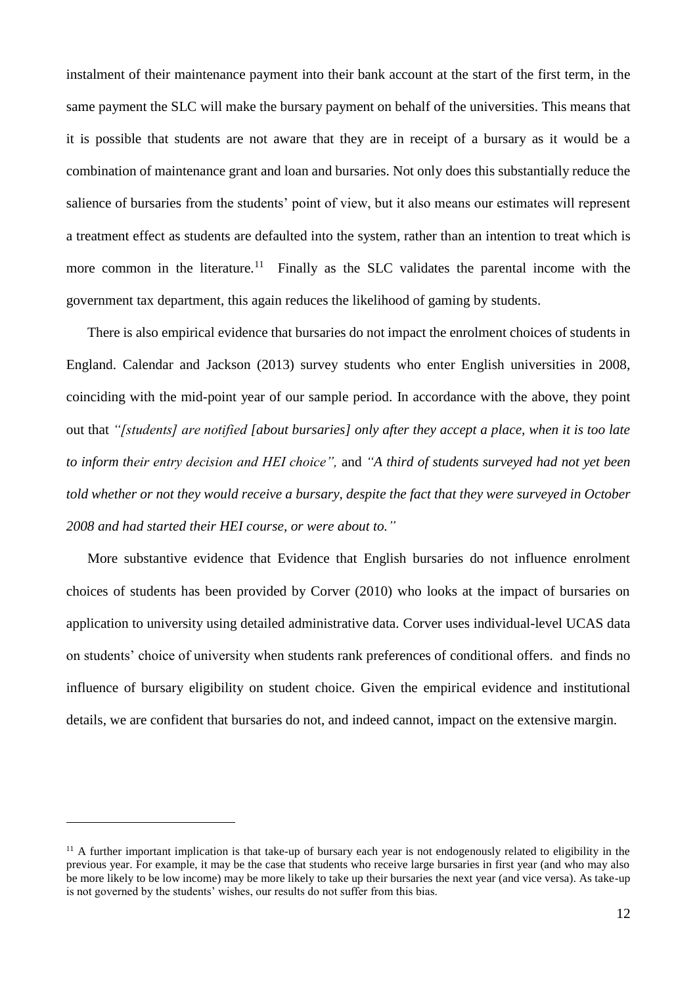instalment of their maintenance payment into their bank account at the start of the first term, in the same payment the SLC will make the bursary payment on behalf of the universities. This means that it is possible that students are not aware that they are in receipt of a bursary as it would be a combination of maintenance grant and loan and bursaries. Not only does this substantially reduce the salience of bursaries from the students' point of view, but it also means our estimates will represent a treatment effect as students are defaulted into the system, rather than an intention to treat which is more common in the literature.<sup>11</sup> Finally as the SLC validates the parental income with the government tax department, this again reduces the likelihood of gaming by students.

There is also empirical evidence that bursaries do not impact the enrolment choices of students in England. Calendar and Jackson (2013) survey students who enter English universities in 2008, coinciding with the mid-point year of our sample period. In accordance with the above, they point out that *"[students] are notified [about bursaries] only after they accept a place, when it is too late to inform their entry decision and HEI choice",* and *"A third of students surveyed had not yet been told whether or not they would receive a bursary, despite the fact that they were surveyed in October 2008 and had started their HEI course, or were about to."*

More substantive evidence that Evidence that English bursaries do not influence enrolment choices of students has been provided by Corver (2010) who looks at the impact of bursaries on application to university using detailed administrative data. Corver uses individual-level UCAS data on students' choice of university when students rank preferences of conditional offers. and finds no influence of bursary eligibility on student choice. Given the empirical evidence and institutional details, we are confident that bursaries do not, and indeed cannot, impact on the extensive margin.

 $11$  A further important implication is that take-up of bursary each year is not endogenously related to eligibility in the previous year. For example, it may be the case that students who receive large bursaries in first year (and who may also be more likely to be low income) may be more likely to take up their bursaries the next year (and vice versa). As take-up is not governed by the students' wishes, our results do not suffer from this bias.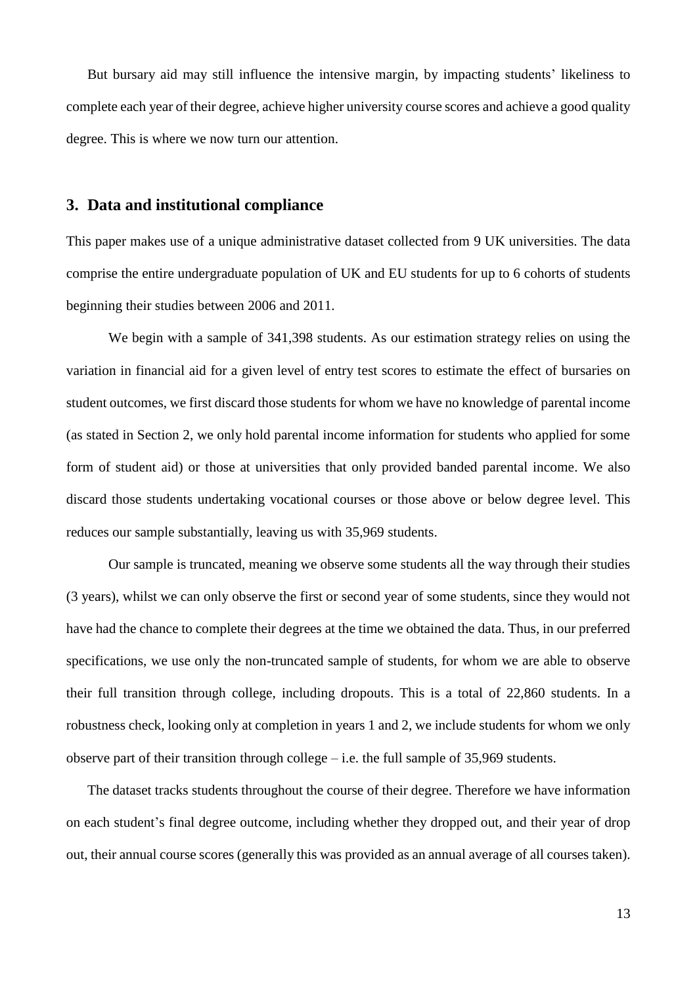But bursary aid may still influence the intensive margin, by impacting students' likeliness to complete each year of their degree, achieve higher university course scores and achieve a good quality degree. This is where we now turn our attention.

## **3. Data and institutional compliance**

This paper makes use of a unique administrative dataset collected from 9 UK universities. The data comprise the entire undergraduate population of UK and EU students for up to 6 cohorts of students beginning their studies between 2006 and 2011.

We begin with a sample of 341,398 students. As our estimation strategy relies on using the variation in financial aid for a given level of entry test scores to estimate the effect of bursaries on student outcomes, we first discard those students for whom we have no knowledge of parental income (as stated in Section 2, we only hold parental income information for students who applied for some form of student aid) or those at universities that only provided banded parental income. We also discard those students undertaking vocational courses or those above or below degree level. This reduces our sample substantially, leaving us with 35,969 students.

Our sample is truncated, meaning we observe some students all the way through their studies (3 years), whilst we can only observe the first or second year of some students, since they would not have had the chance to complete their degrees at the time we obtained the data. Thus, in our preferred specifications, we use only the non-truncated sample of students, for whom we are able to observe their full transition through college, including dropouts. This is a total of 22,860 students. In a robustness check, looking only at completion in years 1 and 2, we include students for whom we only observe part of their transition through college – i.e. the full sample of  $35,969$  students.

The dataset tracks students throughout the course of their degree. Therefore we have information on each student's final degree outcome, including whether they dropped out, and their year of drop out, their annual course scores (generally this was provided as an annual average of all courses taken).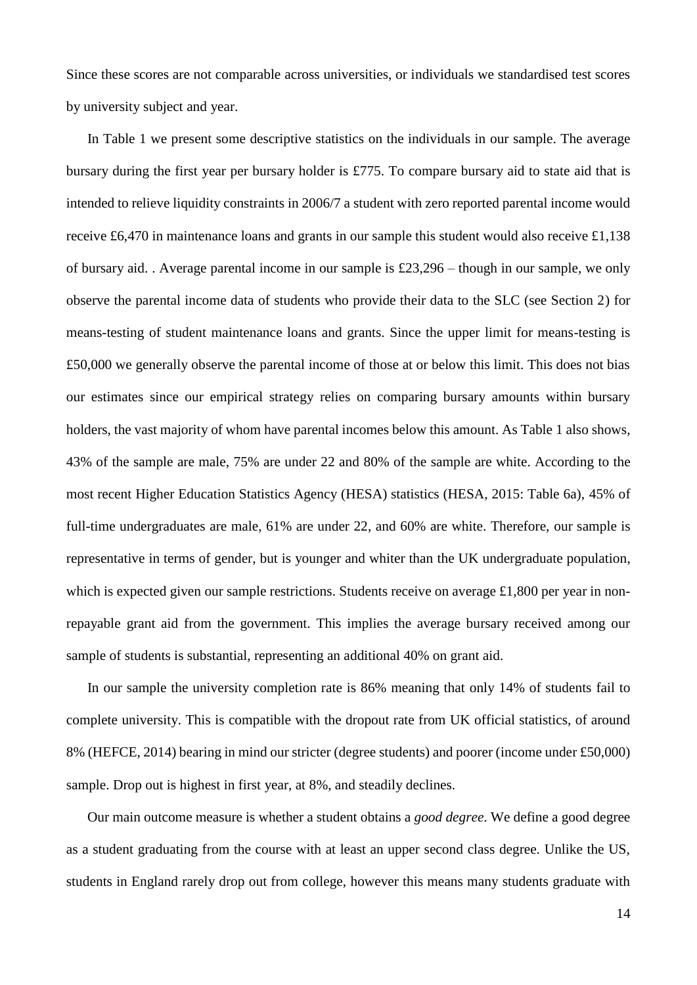Since these scores are not comparable across universities, or individuals we standardised test scores by university subject and year.

In Table 1 we present some descriptive statistics on the individuals in our sample. The average bursary during the first year per bursary holder is £775. To compare bursary aid to state aid that is intended to relieve liquidity constraints in 2006/7 a student with zero reported parental income would receive £6,470 in maintenance loans and grants in our sample this student would also receive £1,138 of bursary aid. . Average parental income in our sample is £23,296 – though in our sample, we only observe the parental income data of students who provide their data to the SLC (see Section 2) for means-testing of student maintenance loans and grants. Since the upper limit for means-testing is £50,000 we generally observe the parental income of those at or below this limit. This does not bias our estimates since our empirical strategy relies on comparing bursary amounts within bursary holders, the vast majority of whom have parental incomes below this amount. As Table 1 also shows, 43% of the sample are male, 75% are under 22 and 80% of the sample are white. According to the most recent Higher Education Statistics Agency (HESA) statistics (HESA, 2015: Table 6a), 45% of full-time undergraduates are male, 61% are under 22, and 60% are white. Therefore, our sample is representative in terms of gender, but is younger and whiter than the UK undergraduate population, which is expected given our sample restrictions. Students receive on average £1,800 per year in nonrepayable grant aid from the government. This implies the average bursary received among our sample of students is substantial, representing an additional 40% on grant aid.

In our sample the university completion rate is 86% meaning that only 14% of students fail to complete university. This is compatible with the dropout rate from UK official statistics, of around 8% (HEFCE, 2014) bearing in mind our stricter (degree students) and poorer (income under £50,000) sample. Drop out is highest in first year, at 8%, and steadily declines.

Our main outcome measure is whether a student obtains a *good degree*. We define a good degree as a student graduating from the course with at least an upper second class degree. Unlike the US, students in England rarely drop out from college, however this means many students graduate with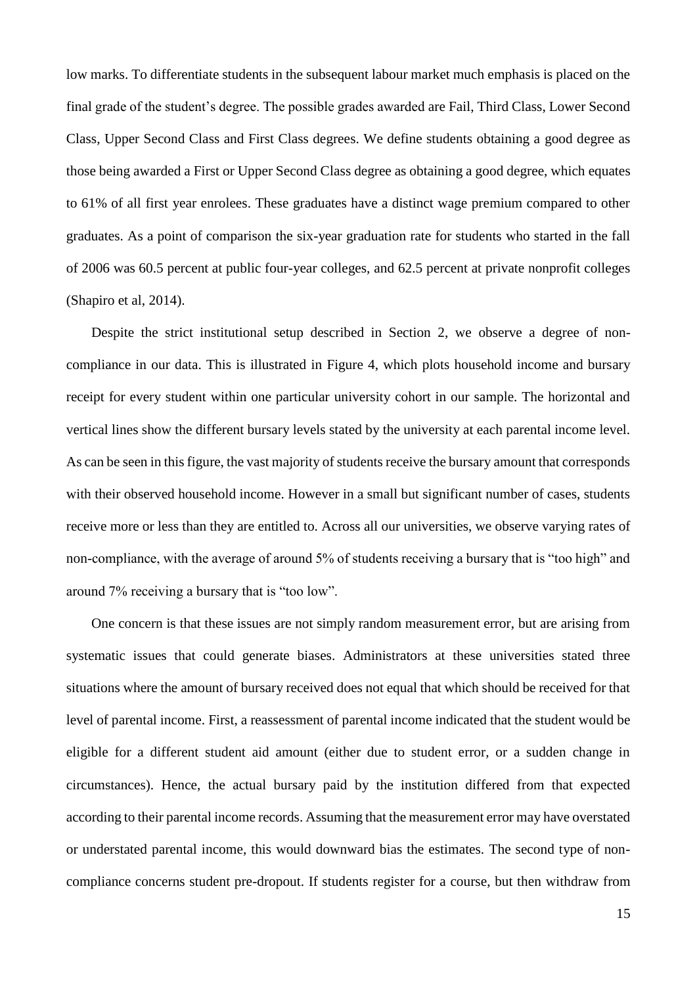low marks. To differentiate students in the subsequent labour market much emphasis is placed on the final grade of the student's degree. The possible grades awarded are Fail, Third Class, Lower Second Class, Upper Second Class and First Class degrees. We define students obtaining a good degree as those being awarded a First or Upper Second Class degree as obtaining a good degree, which equates to 61% of all first year enrolees. These graduates have a distinct wage premium compared to other graduates. As a point of comparison the six-year graduation rate for students who started in the fall of 2006 was 60.5 percent at public four-year colleges, and 62.5 percent at private nonprofit colleges (Shapiro et al, 2014).

Despite the strict institutional setup described in Section 2, we observe a degree of noncompliance in our data. This is illustrated in Figure 4, which plots household income and bursary receipt for every student within one particular university cohort in our sample. The horizontal and vertical lines show the different bursary levels stated by the university at each parental income level. As can be seen in this figure, the vast majority of students receive the bursary amount that corresponds with their observed household income. However in a small but significant number of cases, students receive more or less than they are entitled to. Across all our universities, we observe varying rates of non-compliance, with the average of around 5% of students receiving a bursary that is "too high" and around 7% receiving a bursary that is "too low".

One concern is that these issues are not simply random measurement error, but are arising from systematic issues that could generate biases. Administrators at these universities stated three situations where the amount of bursary received does not equal that which should be received for that level of parental income. First, a reassessment of parental income indicated that the student would be eligible for a different student aid amount (either due to student error, or a sudden change in circumstances). Hence, the actual bursary paid by the institution differed from that expected according to their parental income records. Assuming that the measurement error may have overstated or understated parental income, this would downward bias the estimates. The second type of noncompliance concerns student pre-dropout. If students register for a course, but then withdraw from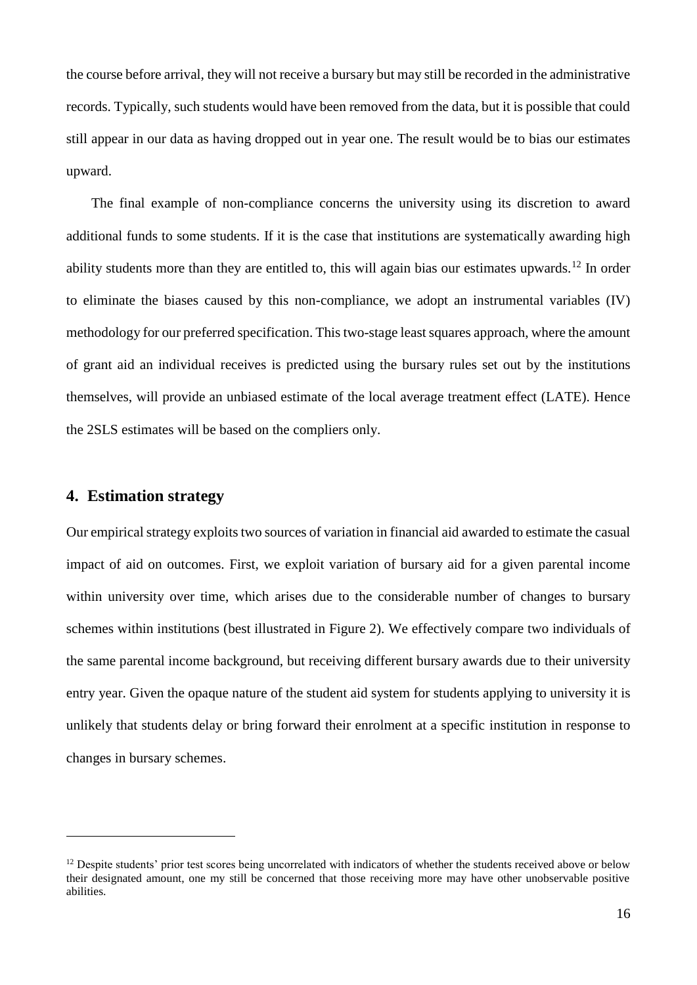the course before arrival, they will not receive a bursary but may still be recorded in the administrative records. Typically, such students would have been removed from the data, but it is possible that could still appear in our data as having dropped out in year one. The result would be to bias our estimates upward.

The final example of non-compliance concerns the university using its discretion to award additional funds to some students. If it is the case that institutions are systematically awarding high ability students more than they are entitled to, this will again bias our estimates upwards.<sup>12</sup> In order to eliminate the biases caused by this non-compliance, we adopt an instrumental variables (IV) methodology for our preferred specification. This two-stage least squares approach, where the amount of grant aid an individual receives is predicted using the bursary rules set out by the institutions themselves, will provide an unbiased estimate of the local average treatment effect (LATE). Hence the 2SLS estimates will be based on the compliers only.

## **4. Estimation strategy**

1

Our empirical strategy exploits two sources of variation in financial aid awarded to estimate the casual impact of aid on outcomes. First, we exploit variation of bursary aid for a given parental income within university over time, which arises due to the considerable number of changes to bursary schemes within institutions (best illustrated in Figure 2). We effectively compare two individuals of the same parental income background, but receiving different bursary awards due to their university entry year. Given the opaque nature of the student aid system for students applying to university it is unlikely that students delay or bring forward their enrolment at a specific institution in response to changes in bursary schemes.

 $12$  Despite students' prior test scores being uncorrelated with indicators of whether the students received above or below their designated amount, one my still be concerned that those receiving more may have other unobservable positive abilities.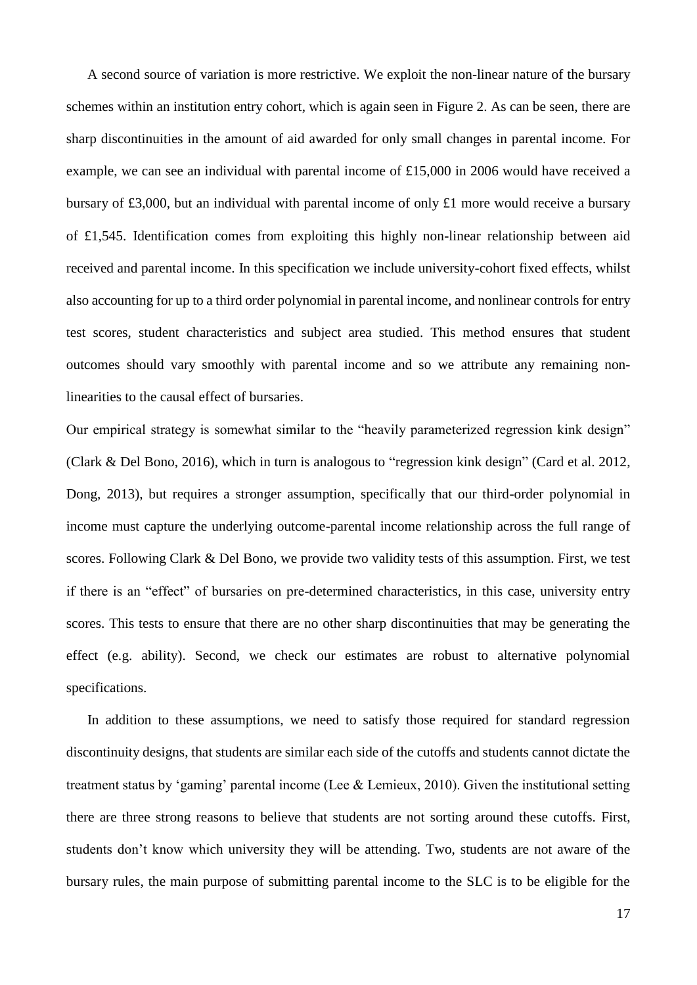A second source of variation is more restrictive. We exploit the non-linear nature of the bursary schemes within an institution entry cohort, which is again seen in Figure 2. As can be seen, there are sharp discontinuities in the amount of aid awarded for only small changes in parental income. For example, we can see an individual with parental income of £15,000 in 2006 would have received a bursary of £3,000, but an individual with parental income of only £1 more would receive a bursary of £1,545. Identification comes from exploiting this highly non-linear relationship between aid received and parental income. In this specification we include university-cohort fixed effects, whilst also accounting for up to a third order polynomial in parental income, and nonlinear controls for entry test scores, student characteristics and subject area studied. This method ensures that student outcomes should vary smoothly with parental income and so we attribute any remaining nonlinearities to the causal effect of bursaries.

Our empirical strategy is somewhat similar to the "heavily parameterized regression kink design" (Clark & Del Bono, 2016), which in turn is analogous to "regression kink design" (Card et al. 2012, Dong, 2013), but requires a stronger assumption, specifically that our third-order polynomial in income must capture the underlying outcome-parental income relationship across the full range of scores. Following Clark & Del Bono, we provide two validity tests of this assumption. First, we test if there is an "effect" of bursaries on pre-determined characteristics, in this case, university entry scores. This tests to ensure that there are no other sharp discontinuities that may be generating the effect (e.g. ability). Second, we check our estimates are robust to alternative polynomial specifications.

In addition to these assumptions, we need to satisfy those required for standard regression discontinuity designs, that students are similar each side of the cutoffs and students cannot dictate the treatment status by 'gaming' parental income (Lee & Lemieux, 2010). Given the institutional setting there are three strong reasons to believe that students are not sorting around these cutoffs. First, students don't know which university they will be attending. Two, students are not aware of the bursary rules, the main purpose of submitting parental income to the SLC is to be eligible for the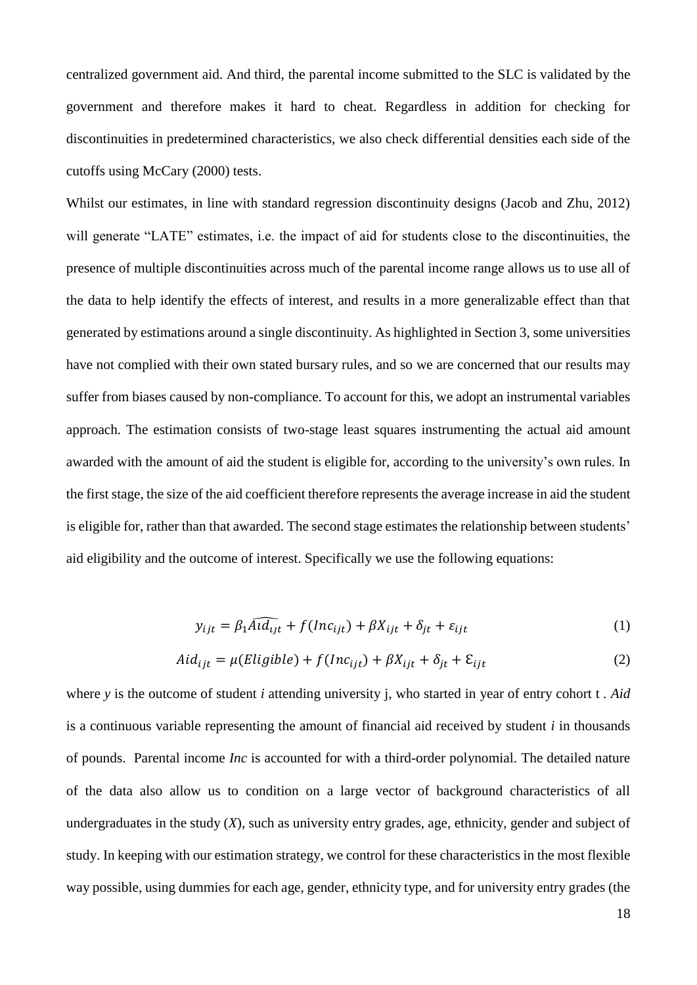centralized government aid. And third, the parental income submitted to the SLC is validated by the government and therefore makes it hard to cheat. Regardless in addition for checking for discontinuities in predetermined characteristics, we also check differential densities each side of the cutoffs using McCary (2000) tests.

Whilst our estimates, in line with standard regression discontinuity designs (Jacob and Zhu, 2012) will generate "LATE" estimates, i.e. the impact of aid for students close to the discontinuities, the presence of multiple discontinuities across much of the parental income range allows us to use all of the data to help identify the effects of interest, and results in a more generalizable effect than that generated by estimations around a single discontinuity. As highlighted in Section 3, some universities have not complied with their own stated bursary rules, and so we are concerned that our results may suffer from biases caused by non-compliance. To account for this, we adopt an instrumental variables approach. The estimation consists of two-stage least squares instrumenting the actual aid amount awarded with the amount of aid the student is eligible for, according to the university's own rules. In the first stage, the size of the aid coefficient therefore represents the average increase in aid the student is eligible for, rather than that awarded. The second stage estimates the relationship between students' aid eligibility and the outcome of interest. Specifically we use the following equations:

$$
y_{ijt} = \beta_1 \widehat{Aid_{ijt}} + f(Inc_{ijt}) + \beta X_{ijt} + \delta_{jt} + \varepsilon_{ijt}
$$
 (1)

$$
A i d_{ijt} = \mu (E l i g i b l e) + f (l n c_{ijt}) + \beta X_{ijt} + \delta_{jt} + \varepsilon_{ijt}
$$
\n
$$
\tag{2}
$$

where *y* is the outcome of student *i* attending university *j*, who started in year of entry cohort t *. Aid* is a continuous variable representing the amount of financial aid received by student *i* in thousands of pounds. Parental income *Inc* is accounted for with a third-order polynomial. The detailed nature of the data also allow us to condition on a large vector of background characteristics of all undergraduates in the study (*X*), such as university entry grades, age, ethnicity, gender and subject of study. In keeping with our estimation strategy, we control for these characteristics in the most flexible way possible, using dummies for each age, gender, ethnicity type, and for university entry grades (the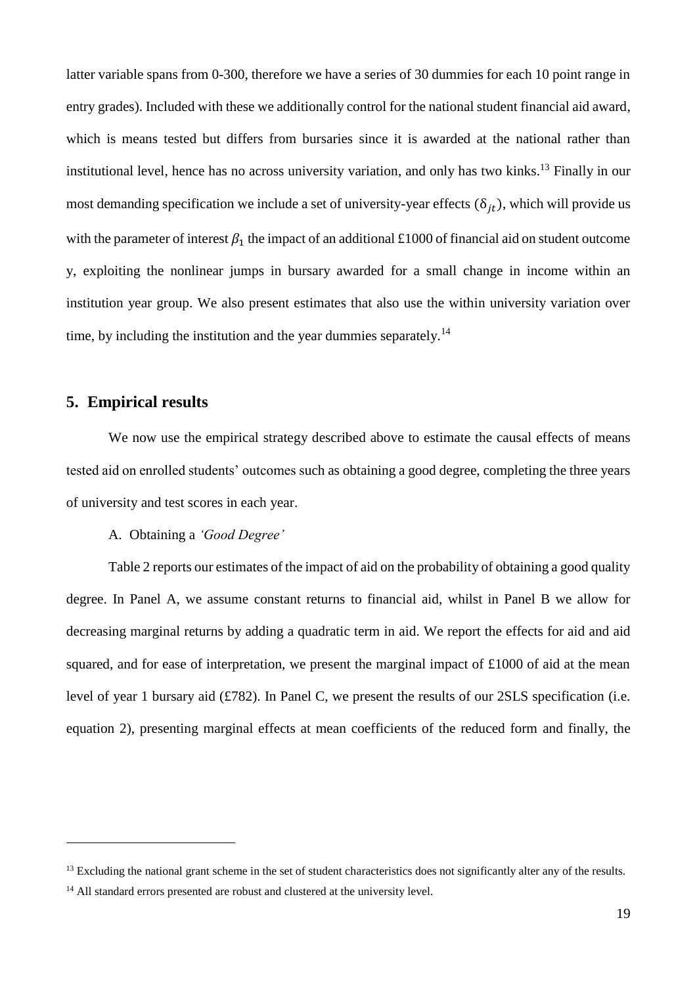latter variable spans from 0-300, therefore we have a series of 30 dummies for each 10 point range in entry grades). Included with these we additionally control for the national student financial aid award, which is means tested but differs from bursaries since it is awarded at the national rather than institutional level, hence has no across university variation, and only has two kinks. <sup>13</sup> Finally in our most demanding specification we include a set of university-year effects  $(\delta_{it})$ , which will provide us with the parameter of interest  $\beta_1$  the impact of an additional £1000 of financial aid on student outcome y, exploiting the nonlinear jumps in bursary awarded for a small change in income within an institution year group. We also present estimates that also use the within university variation over time, by including the institution and the year dummies separately.<sup>14</sup>

# **5. Empirical results**

<u>.</u>

We now use the empirical strategy described above to estimate the causal effects of means tested aid on enrolled students' outcomes such as obtaining a good degree, completing the three years of university and test scores in each year.

## A. Obtaining a *'Good Degree'*

Table 2 reports our estimates of the impact of aid on the probability of obtaining a good quality degree. In Panel A, we assume constant returns to financial aid, whilst in Panel B we allow for decreasing marginal returns by adding a quadratic term in aid. We report the effects for aid and aid squared, and for ease of interpretation, we present the marginal impact of £1000 of aid at the mean level of year 1 bursary aid (£782). In Panel C, we present the results of our 2SLS specification (i.e. equation 2), presenting marginal effects at mean coefficients of the reduced form and finally, the

<sup>&</sup>lt;sup>13</sup> Excluding the national grant scheme in the set of student characteristics does not significantly alter any of the results.

<sup>&</sup>lt;sup>14</sup> All standard errors presented are robust and clustered at the university level.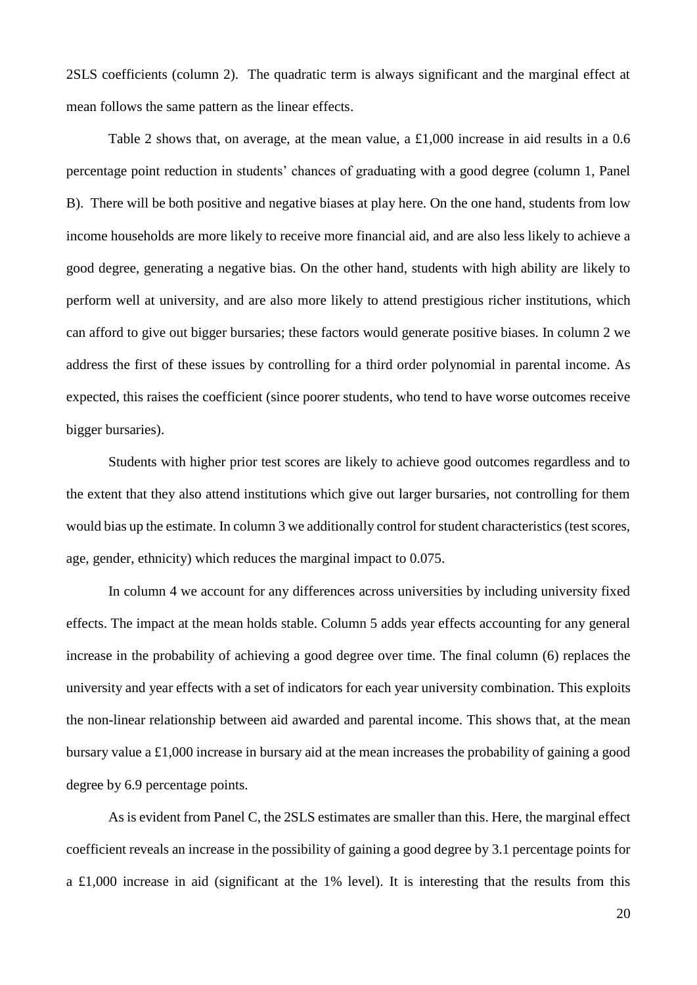2SLS coefficients (column 2). The quadratic term is always significant and the marginal effect at mean follows the same pattern as the linear effects.

Table 2 shows that, on average, at the mean value, a £1,000 increase in aid results in a 0.6 percentage point reduction in students' chances of graduating with a good degree (column 1, Panel B). There will be both positive and negative biases at play here. On the one hand, students from low income households are more likely to receive more financial aid, and are also less likely to achieve a good degree, generating a negative bias. On the other hand, students with high ability are likely to perform well at university, and are also more likely to attend prestigious richer institutions, which can afford to give out bigger bursaries; these factors would generate positive biases. In column 2 we address the first of these issues by controlling for a third order polynomial in parental income. As expected, this raises the coefficient (since poorer students, who tend to have worse outcomes receive bigger bursaries).

Students with higher prior test scores are likely to achieve good outcomes regardless and to the extent that they also attend institutions which give out larger bursaries, not controlling for them would bias up the estimate. In column 3 we additionally control for student characteristics (test scores, age, gender, ethnicity) which reduces the marginal impact to 0.075.

In column 4 we account for any differences across universities by including university fixed effects. The impact at the mean holds stable. Column 5 adds year effects accounting for any general increase in the probability of achieving a good degree over time. The final column (6) replaces the university and year effects with a set of indicators for each year university combination. This exploits the non-linear relationship between aid awarded and parental income. This shows that, at the mean bursary value a £1,000 increase in bursary aid at the mean increases the probability of gaining a good degree by 6.9 percentage points.

As is evident from Panel C, the 2SLS estimates are smaller than this. Here, the marginal effect coefficient reveals an increase in the possibility of gaining a good degree by 3.1 percentage points for a £1,000 increase in aid (significant at the 1% level). It is interesting that the results from this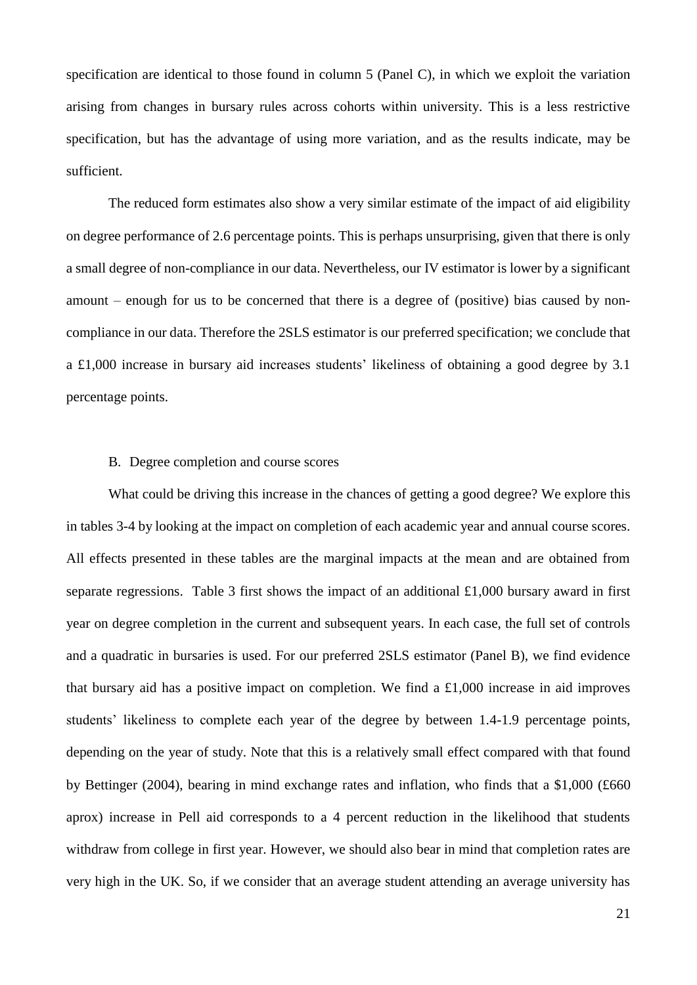specification are identical to those found in column 5 (Panel C), in which we exploit the variation arising from changes in bursary rules across cohorts within university. This is a less restrictive specification, but has the advantage of using more variation, and as the results indicate, may be sufficient.

The reduced form estimates also show a very similar estimate of the impact of aid eligibility on degree performance of 2.6 percentage points. This is perhaps unsurprising, given that there is only a small degree of non-compliance in our data. Nevertheless, our IV estimator is lower by a significant amount – enough for us to be concerned that there is a degree of (positive) bias caused by noncompliance in our data. Therefore the 2SLS estimator is our preferred specification; we conclude that a £1,000 increase in bursary aid increases students' likeliness of obtaining a good degree by 3.1 percentage points.

## B. Degree completion and course scores

What could be driving this increase in the chances of getting a good degree? We explore this in tables 3-4 by looking at the impact on completion of each academic year and annual course scores. All effects presented in these tables are the marginal impacts at the mean and are obtained from separate regressions. Table 3 first shows the impact of an additional £1,000 bursary award in first year on degree completion in the current and subsequent years. In each case, the full set of controls and a quadratic in bursaries is used. For our preferred 2SLS estimator (Panel B), we find evidence that bursary aid has a positive impact on completion. We find a £1,000 increase in aid improves students' likeliness to complete each year of the degree by between 1.4-1.9 percentage points, depending on the year of study. Note that this is a relatively small effect compared with that found by Bettinger (2004), bearing in mind exchange rates and inflation, who finds that a \$1,000 (£660 aprox) increase in Pell aid corresponds to a 4 percent reduction in the likelihood that students withdraw from college in first year. However, we should also bear in mind that completion rates are very high in the UK. So, if we consider that an average student attending an average university has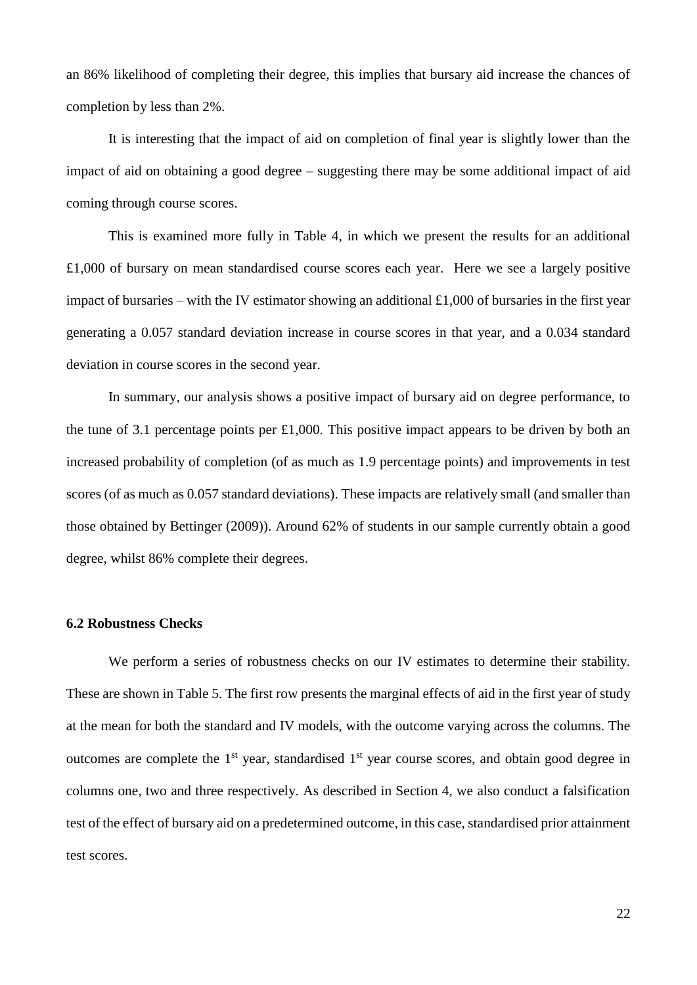an 86% likelihood of completing their degree, this implies that bursary aid increase the chances of completion by less than 2%.

It is interesting that the impact of aid on completion of final year is slightly lower than the impact of aid on obtaining a good degree – suggesting there may be some additional impact of aid coming through course scores.

This is examined more fully in Table 4, in which we present the results for an additional £1,000 of bursary on mean standardised course scores each year. Here we see a largely positive impact of bursaries – with the IV estimator showing an additional  $\pounds1,000$  of bursaries in the first year generating a 0.057 standard deviation increase in course scores in that year, and a 0.034 standard deviation in course scores in the second year.

In summary, our analysis shows a positive impact of bursary aid on degree performance, to the tune of 3.1 percentage points per £1,000. This positive impact appears to be driven by both an increased probability of completion (of as much as 1.9 percentage points) and improvements in test scores (of as much as 0.057 standard deviations). These impacts are relatively small (and smaller than those obtained by Bettinger (2009)). Around 62% of students in our sample currently obtain a good degree, whilst 86% complete their degrees.

### **6.2 Robustness Checks**

We perform a series of robustness checks on our IV estimates to determine their stability. These are shown in Table 5. The first row presents the marginal effects of aid in the first year of study at the mean for both the standard and IV models, with the outcome varying across the columns. The outcomes are complete the 1<sup>st</sup> year, standardised 1<sup>st</sup> year course scores, and obtain good degree in columns one, two and three respectively. As described in Section 4, we also conduct a falsification test of the effect of bursary aid on a predetermined outcome, in this case, standardised prior attainment test scores.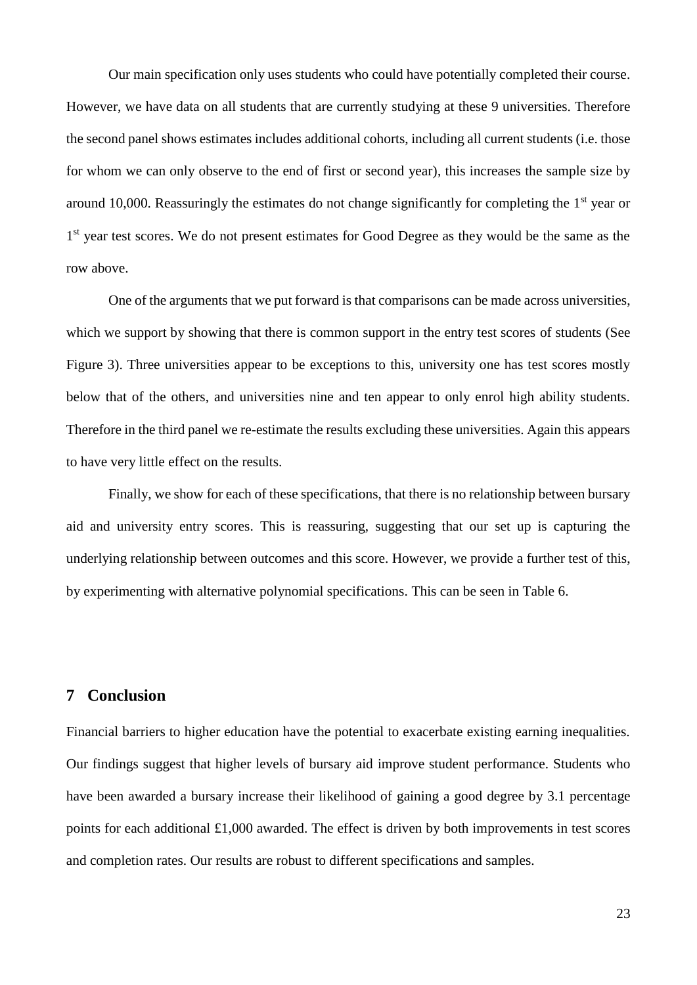Our main specification only uses students who could have potentially completed their course. However, we have data on all students that are currently studying at these 9 universities. Therefore the second panel shows estimates includes additional cohorts, including all current students (i.e. those for whom we can only observe to the end of first or second year), this increases the sample size by around 10,000. Reassuringly the estimates do not change significantly for completing the 1st year or 1<sup>st</sup> year test scores. We do not present estimates for Good Degree as they would be the same as the row above.

One of the arguments that we put forward is that comparisons can be made across universities, which we support by showing that there is common support in the entry test scores of students (See Figure 3). Three universities appear to be exceptions to this, university one has test scores mostly below that of the others, and universities nine and ten appear to only enrol high ability students. Therefore in the third panel we re-estimate the results excluding these universities. Again this appears to have very little effect on the results.

Finally, we show for each of these specifications, that there is no relationship between bursary aid and university entry scores. This is reassuring, suggesting that our set up is capturing the underlying relationship between outcomes and this score. However, we provide a further test of this, by experimenting with alternative polynomial specifications. This can be seen in Table 6.

# **7 Conclusion**

Financial barriers to higher education have the potential to exacerbate existing earning inequalities. Our findings suggest that higher levels of bursary aid improve student performance. Students who have been awarded a bursary increase their likelihood of gaining a good degree by 3.1 percentage points for each additional £1,000 awarded. The effect is driven by both improvements in test scores and completion rates. Our results are robust to different specifications and samples.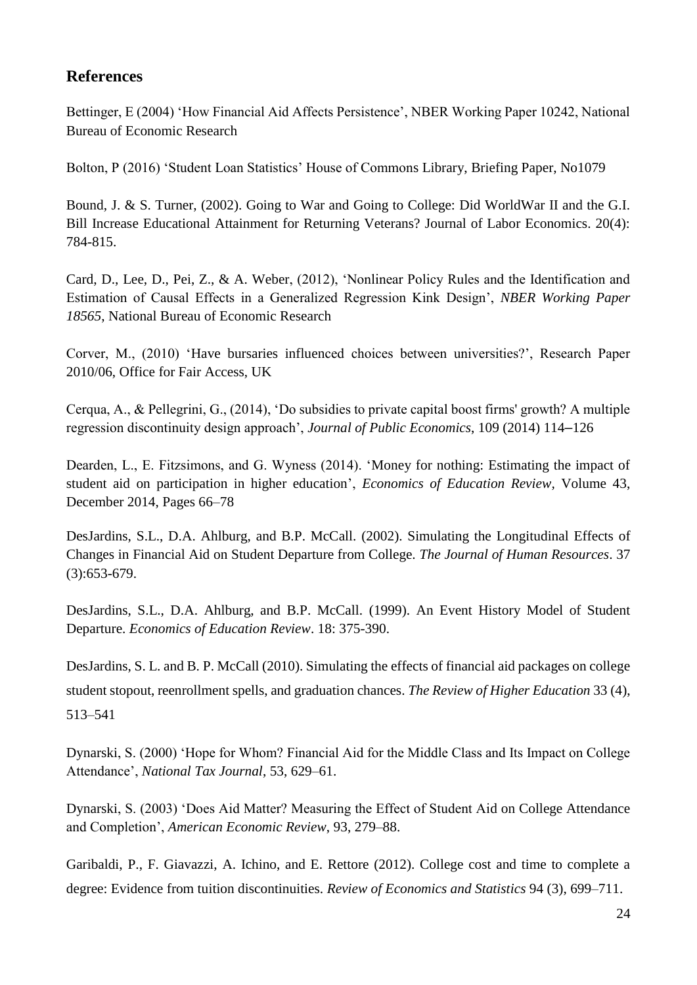# **References**

Bettinger, E (2004) 'How Financial Aid Affects Persistence', NBER Working Paper 10242, National Bureau of Economic Research

Bolton, P (2016) 'Student Loan Statistics' House of Commons Library, Briefing Paper, No1079

Bound, J. & S. Turner, (2002). Going to War and Going to College: Did WorldWar II and the G.I. Bill Increase Educational Attainment for Returning Veterans? Journal of Labor Economics. 20(4): 784-815.

Card, D., Lee, D., Pei, Z., & A. Weber, (2012), 'Nonlinear Policy Rules and the Identification and Estimation of Causal Effects in a Generalized Regression Kink Design', *NBER Working Paper 18565*, National Bureau of Economic Research

Corver, M., (2010) 'Have bursaries influenced choices between universities?', Research Paper 2010/06, Office for Fair Access, UK

Cerqua, A., & Pellegrini, G., (2014), 'Do subsidies to private capital boost firms' growth? A multiple regression discontinuity design approach', *Journal of Public Economics*, 109 (2014) 114–126

Dearden, L., E. Fitzsimons, and G. Wyness (2014). 'Money for nothing: Estimating the impact of student aid on participation in higher education', *Economics of Education Review,* Volume 43, December 2014, Pages 66–78

DesJardins, S.L., D.A. Ahlburg, and B.P. McCall. (2002). Simulating the Longitudinal Effects of Changes in Financial Aid on Student Departure from College. *The Journal of Human Resources*. 37 (3):653-679.

DesJardins, S.L., D.A. Ahlburg, and B.P. McCall. (1999). An Event History Model of Student Departure. *Economics of Education Review*. 18: 375-390.

DesJardins, S. L. and B. P. McCall (2010). Simulating the effects of financial aid packages on college student stopout, reenrollment spells, and graduation chances. *The Review of Higher Education* 33 (4), 513–541

Dynarski, S. (2000) 'Hope for Whom? Financial Aid for the Middle Class and Its Impact on College Attendance', *National Tax Journal*, 53, 629–61.

Dynarski, S. (2003) 'Does Aid Matter? Measuring the Effect of Student Aid on College Attendance and Completion', *American Economic Review*, 93, 279–88.

Garibaldi, P., F. Giavazzi, A. Ichino, and E. Rettore (2012). College cost and time to complete a degree: Evidence from tuition discontinuities. *Review of Economics and Statistics* 94 (3), 699–711.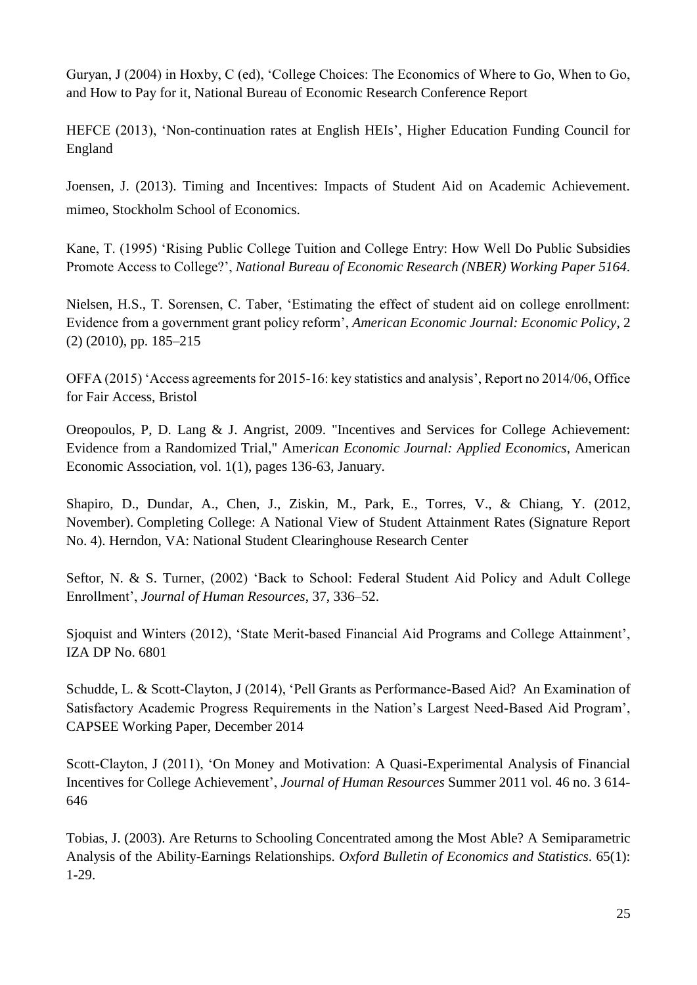Guryan, J (2004) in Hoxby, C (ed), 'College Choices: The Economics of Where to Go, When to Go, and How to Pay for it, National Bureau of Economic Research Conference Report

HEFCE (2013), 'Non-continuation rates at English HEIs', Higher Education Funding Council for England

Joensen, J. (2013). Timing and Incentives: Impacts of Student Aid on Academic Achievement. mimeo, Stockholm School of Economics.

Kane, T. (1995) 'Rising Public College Tuition and College Entry: How Well Do Public Subsidies Promote Access to College?', *National Bureau of Economic Research (NBER) Working Paper 5164.*

Nielsen, H.S., T. Sorensen, C. Taber, 'Estimating the effect of student aid on college enrollment: Evidence from a government grant policy reform', *American Economic Journal: Economic Policy*, 2 (2) (2010), pp. 185–215

OFFA (2015) 'Access agreements for 2015-16: key statistics and analysis', Report no 2014/06, Office for Fair Access, Bristol

Oreopoulos, P, D. Lang & J. Angrist, 2009. "Incentives and Services for College Achievement: Evidence from a Randomized Trial," Ame*rican Economic Journal: Applied Economics*, American Economic Association, vol. 1(1), pages 136-63, January.

Shapiro, D., Dundar, A., Chen, J., Ziskin, M., Park, E., Torres, V., & Chiang, Y. (2012, November). Completing College: A National View of Student Attainment Rates (Signature Report No. 4). Herndon, VA: National Student Clearinghouse Research Center

Seftor, N. & S. Turner, (2002) 'Back to School: Federal Student Aid Policy and Adult College Enrollment', *Journal of Human Resources*, 37, 336–52.

Sjoquist and Winters (2012), 'State Merit-based Financial Aid Programs and College Attainment', IZA DP No. 6801

Schudde, L. & Scott-Clayton, J (2014), 'Pell Grants as Performance-Based Aid? An Examination of Satisfactory Academic Progress Requirements in the Nation's Largest Need-Based Aid Program', CAPSEE Working Paper, December 2014

Scott-Clayton, J (2011), 'On Money and Motivation: A Quasi-Experimental Analysis of Financial Incentives for College Achievement', *Journal of Human Resources* Summer 2011 vol. 46 no. 3 614- 646

Tobias, J. (2003). Are Returns to Schooling Concentrated among the Most Able? A Semiparametric Analysis of the Ability-Earnings Relationships. *Oxford Bulletin of Economics and Statistics*. 65(1): 1-29.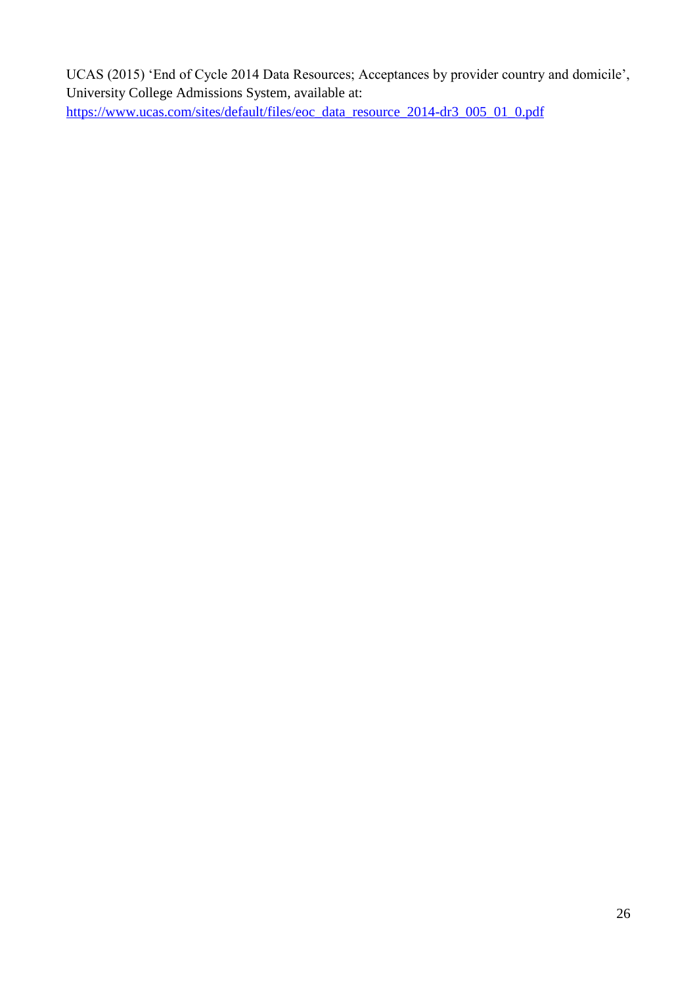UCAS (2015) 'End of Cycle 2014 Data Resources; Acceptances by provider country and domicile', University College Admissions System, available at: [https://www.ucas.com/sites/default/files/eoc\\_data\\_resource\\_2014-dr3\\_005\\_01\\_0.pdf](https://www.ucas.com/sites/default/files/eoc_data_resource_2014-dr3_005_01_0.pdf)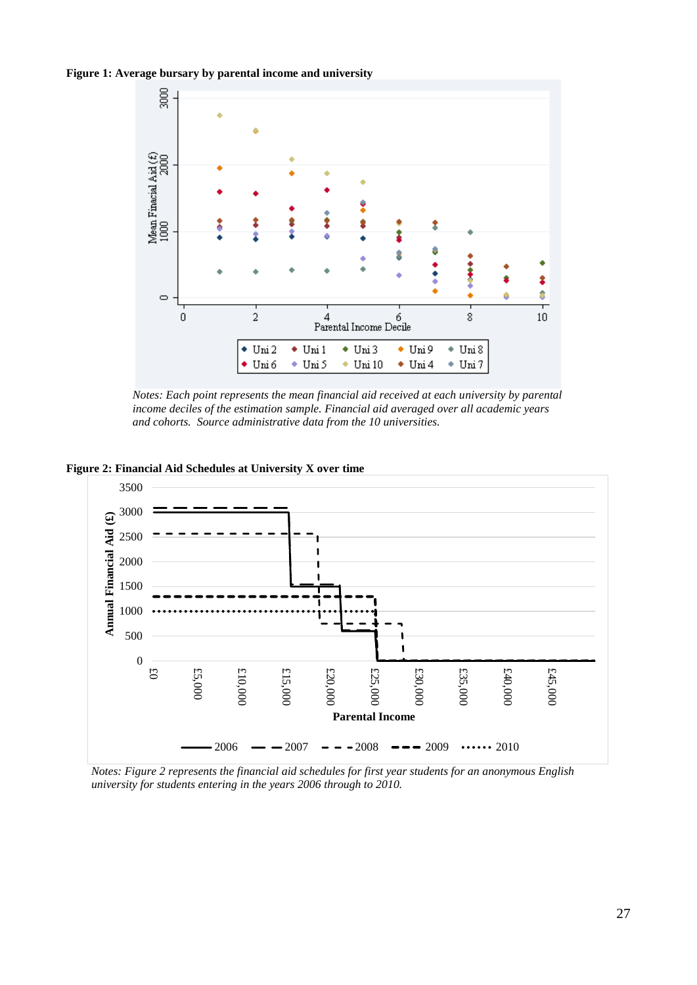**Figure 1: Average bursary by parental income and university**



*Notes: Each point represents the mean financial aid received at each university by parental income deciles of the estimation sample. Financial aid averaged over all academic years and cohorts. Source administrative data from the 10 universities.*

#### **Figure 2: Financial Aid Schedules at University X over time**



*Notes: Figure 2 represents the financial aid schedules for first year students for an anonymous English university for students entering in the years 2006 through to 2010.*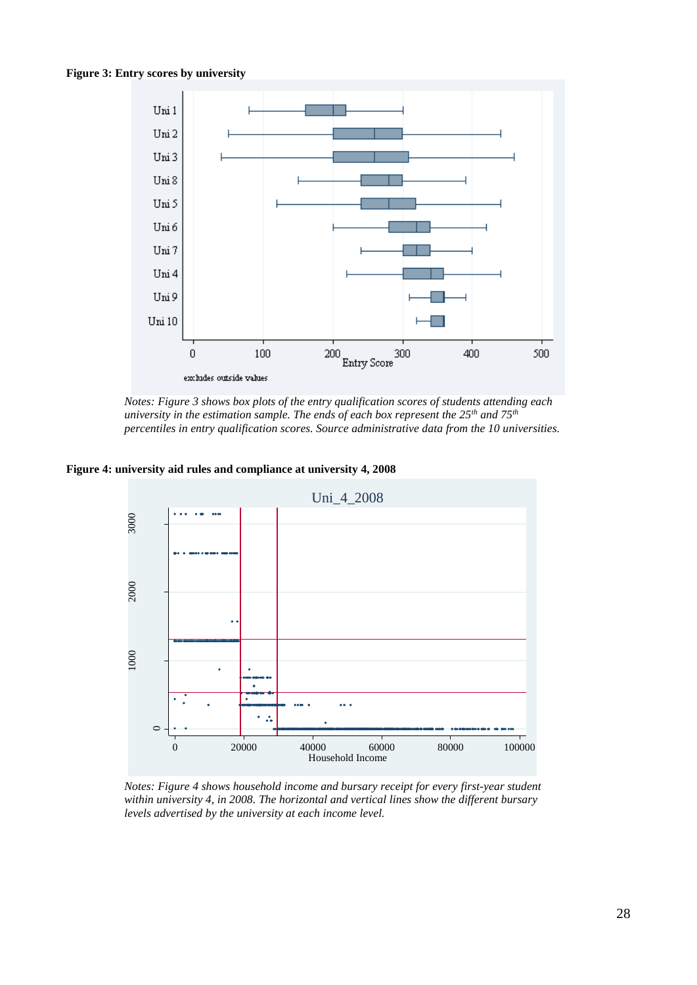

*Notes: Figure 3 shows box plots of the entry qualification scores of students attending each university in the estimation sample. The ends of each box represent the 25th and 75th percentiles in entry qualification scores. Source administrative data from the 10 universities.*





*Notes: Figure 4 shows household income and bursary receipt for every first-year student within university 4, in 2008. The horizontal and vertical lines show the different bursary levels advertised by the university at each income level.*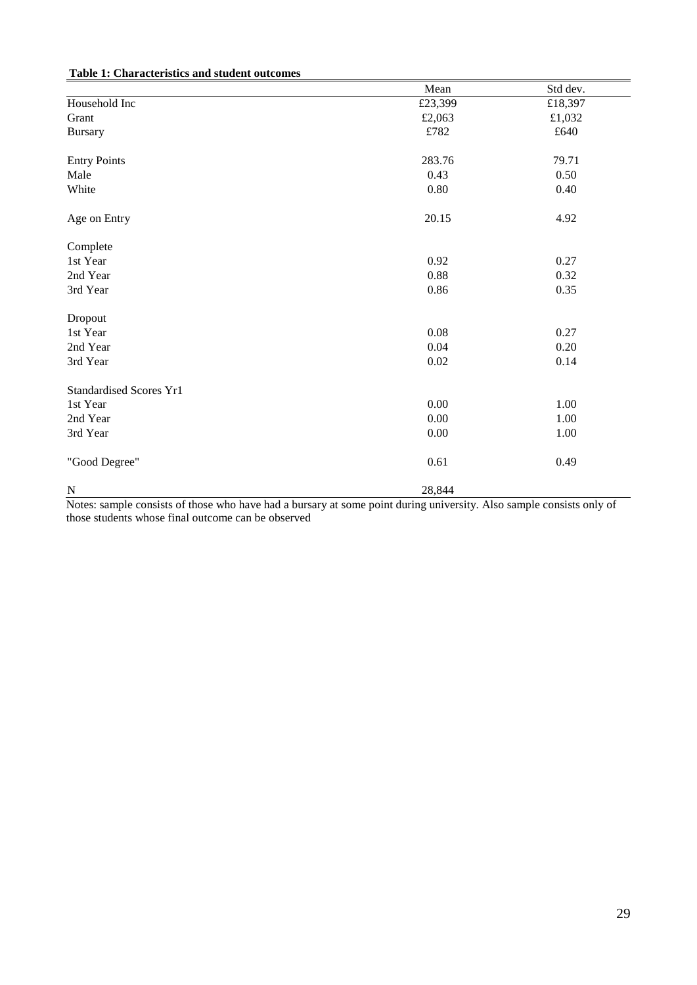### **Table 1: Characteristics and student outcomes**

|                         | Mean     | Std dev. |
|-------------------------|----------|----------|
| Household Inc           | £23,399  | £18,397  |
| Grant                   | £2,063   | £1,032   |
| <b>Bursary</b>          | £782     | £640     |
|                         |          |          |
| <b>Entry Points</b>     | 283.76   | 79.71    |
| Male                    | 0.43     | 0.50     |
| White                   | 0.80     | 0.40     |
| Age on Entry            | 20.15    | 4.92     |
| Complete                |          |          |
| 1st Year                | 0.92     | 0.27     |
| 2nd Year                | 0.88     | 0.32     |
| 3rd Year                | $0.86\,$ | 0.35     |
| Dropout                 |          |          |
| 1st Year                | 0.08     | 0.27     |
| 2nd Year                | 0.04     | 0.20     |
| 3rd Year                | 0.02     | 0.14     |
| Standardised Scores Yr1 |          |          |
| 1st Year                | $0.00\,$ | 1.00     |
| 2nd Year                | 0.00     | 1.00     |
| 3rd Year                | 0.00     | 1.00     |
|                         |          |          |
| "Good Degree"           | 0.61     | 0.49     |
| $\underline{N}$         | 28,844   |          |

Notes: sample consists of those who have had a bursary at some point during university. Also sample consists only of those students whose final outcome can be observed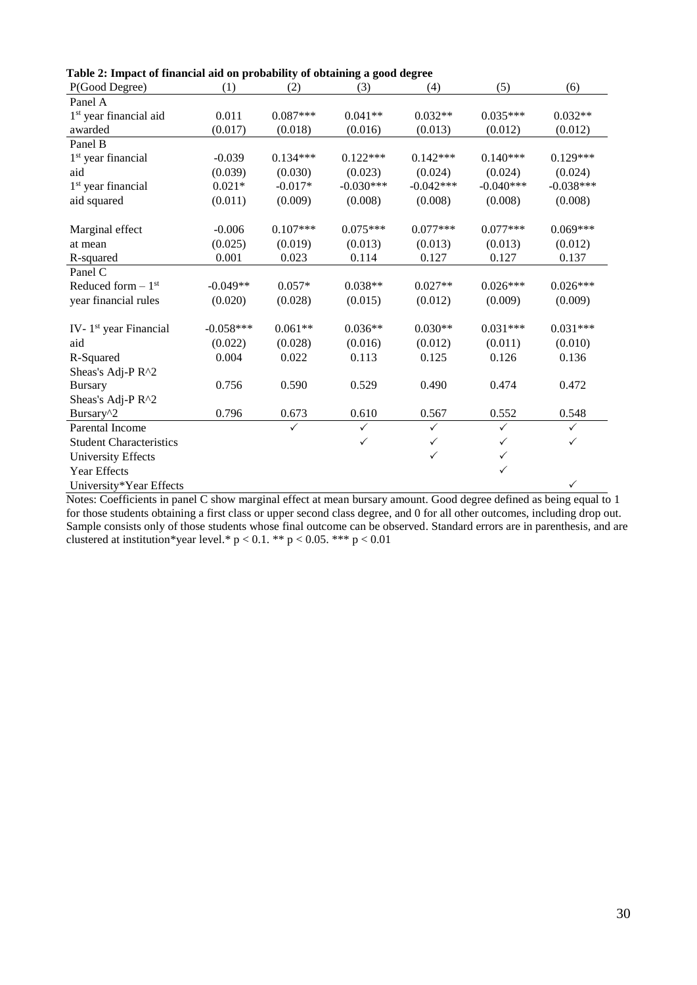| P(Good Degree)                            | (1)         | (2)          | (3)          | (4)          | (5)          | (6)          |
|-------------------------------------------|-------------|--------------|--------------|--------------|--------------|--------------|
| Panel A                                   |             |              |              |              |              |              |
| 1 <sup>st</sup> year financial aid        | 0.011       | $0.087***$   | $0.041**$    | $0.032**$    | $0.035***$   | $0.032**$    |
| awarded                                   | (0.017)     | (0.018)      | (0.016)      | (0.013)      | (0.012)      | (0.012)      |
| Panel B                                   |             |              |              |              |              |              |
| 1 <sup>st</sup> year financial            | $-0.039$    | $0.134***$   | $0.122***$   | $0.142***$   | $0.140***$   | $0.129***$   |
| aid                                       | (0.039)     | (0.030)      | (0.023)      | (0.024)      | (0.024)      | (0.024)      |
| 1 <sup>st</sup> year financial            | $0.021*$    | $-0.017*$    | $-0.030***$  | $-0.042***$  | $-0.040***$  | $-0.038***$  |
| aid squared                               | (0.011)     | (0.009)      | (0.008)      | (0.008)      | (0.008)      | (0.008)      |
|                                           |             |              |              |              |              |              |
| Marginal effect                           | $-0.006$    | $0.107***$   | $0.075***$   | $0.077***$   | $0.077***$   | $0.069***$   |
| at mean                                   | (0.025)     | (0.019)      | (0.013)      | (0.013)      | (0.013)      | (0.012)      |
| R-squared                                 | 0.001       | 0.023        | 0.114        | 0.127        | 0.127        | 0.137        |
| Panel C                                   |             |              |              |              |              |              |
| Reduced form $-1st$                       | $-0.049**$  | $0.057*$     | $0.038**$    | $0.027**$    | $0.026***$   | $0.026***$   |
| year financial rules                      | (0.020)     | (0.028)      | (0.015)      | (0.012)      | (0.009)      | (0.009)      |
| IV-1 <sup>st</sup> year Financial         | $-0.058***$ | $0.061**$    | $0.036**$    | $0.030**$    | $0.031***$   | $0.031***$   |
| aid                                       | (0.022)     | (0.028)      | (0.016)      | (0.012)      | (0.011)      | (0.010)      |
|                                           | 0.004       | 0.022        | 0.113        | 0.125        | 0.126        | 0.136        |
| R-Squared                                 |             |              |              |              |              |              |
| Sheas's Adj-P R^2                         | 0.756       |              | 0.529        | 0.490        | 0.474        | 0.472        |
| <b>Bursary</b><br>Sheas's Adj-P R^2       |             | 0.590        |              |              |              |              |
| Bursary $\gamma$ 2                        | 0.796       | 0.673        | 0.610        | 0.567        | 0.552        | 0.548        |
| Parental Income                           |             | $\checkmark$ | $\checkmark$ | $\checkmark$ | $\checkmark$ | ✓            |
| <b>Student Characteristics</b>            |             |              | $\checkmark$ | $\checkmark$ | $\checkmark$ | $\checkmark$ |
|                                           |             |              |              | $\checkmark$ | $\checkmark$ |              |
| <b>University Effects</b><br>Year Effects |             |              |              |              | $\checkmark$ |              |
|                                           |             |              |              |              |              | $\checkmark$ |
| University*Year Effects                   |             |              |              |              |              |              |

**Table 2: Impact of financial aid on probability of obtaining a good degree**

Notes: Coefficients in panel C show marginal effect at mean bursary amount. Good degree defined as being equal to 1 for those students obtaining a first class or upper second class degree, and 0 for all other outcomes, including drop out. Sample consists only of those students whose final outcome can be observed. Standard errors are in parenthesis, and are clustered at institution\*year level.\*  $p < 0.1$ .\*\*  $p < 0.05$ .\*\*\*  $p < 0.01$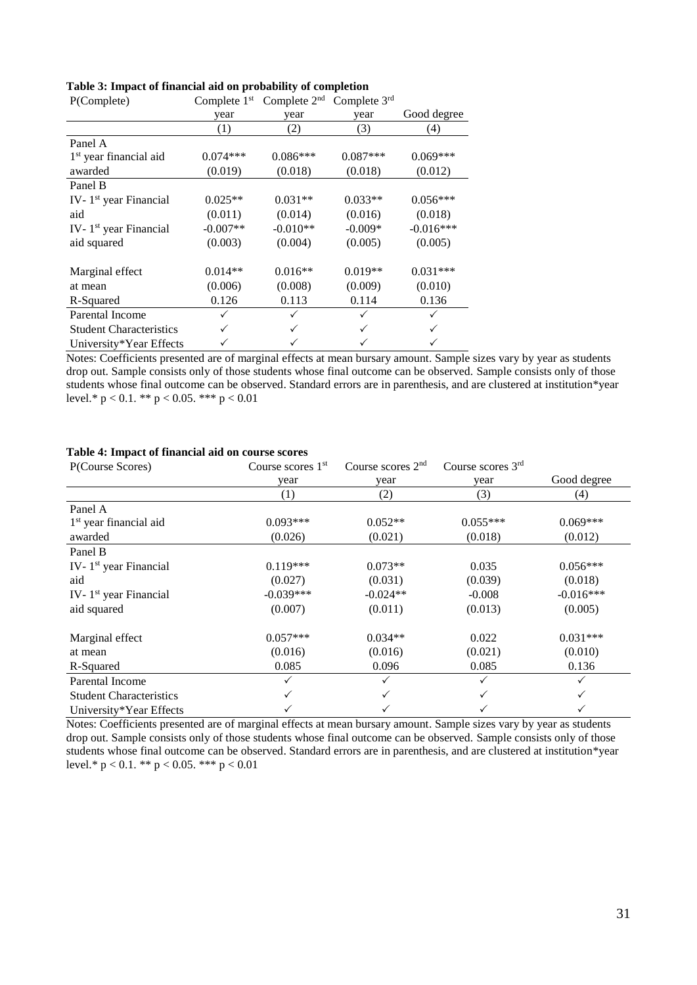|                                                          | Table 3: Impact of financial aid on probability of completion   |
|----------------------------------------------------------|-----------------------------------------------------------------|
| $\mathbf{D}(\mathbf{C} \cup \mathbf{C} \cup \mathbf{C})$ | $C_{\rm max}$ 1.4. 1st $C_{\rm max}$ 1.4. 2nd $C_{\rm max}$ 1.4 |

| P(Complete)                    | Complete 1 <sup>st</sup> | Complete $2nd$ | Complete $3rd$ |             |
|--------------------------------|--------------------------|----------------|----------------|-------------|
|                                | year                     | year           | year           | Good degree |
|                                | (1)                      | (2)            | (3)            | (4)         |
| Panel A                        |                          |                |                |             |
| $1st$ year financial aid       | $0.074***$               | $0.086***$     | $0.087***$     | $0.069***$  |
| awarded                        | (0.019)                  | (0.018)        | (0.018)        | (0.012)     |
| Panel B                        |                          |                |                |             |
| IV- $1st$ year Financial       | $0.025**$                | $0.031**$      | $0.033**$      | $0.056***$  |
| aid                            | (0.011)                  | (0.014)        | (0.016)        | (0.018)     |
| IV- $1st$ year Financial       | $-0.007**$               | $-0.010**$     | $-0.009*$      | $-0.016***$ |
| aid squared                    | (0.003)                  | (0.004)        | (0.005)        | (0.005)     |
| Marginal effect                | $0.014**$                | $0.016**$      | $0.019**$      | $0.031***$  |
| at mean                        | (0.006)                  | (0.008)        | (0.009)        | (0.010)     |
| R-Squared                      | 0.126                    | 0.113          | 0.114          | 0.136       |
| Parental Income                |                          |                | ✓              |             |
| <b>Student Characteristics</b> |                          | ✓              | ✓              | ✓           |
| University*Year Effects        |                          |                |                |             |

Notes: Coefficients presented are of marginal effects at mean bursary amount. Sample sizes vary by year as students drop out. Sample consists only of those students whose final outcome can be observed. Sample consists only of those students whose final outcome can be observed. Standard errors are in parenthesis, and are clustered at institution\*year level.\* p < 0.1. \*\* p < 0.05. \*\*\* p < 0.01

#### **Table 4: Impact of financial aid on course scores**

| P(Course Scores)               | Course scores 1 <sup>st</sup> | Course scores $2nd$ | Course scores 3rd |             |
|--------------------------------|-------------------------------|---------------------|-------------------|-------------|
|                                | year                          | year                | year              | Good degree |
|                                | (1)                           | (2)                 | (3)               | (4)         |
| Panel A                        |                               |                     |                   |             |
| $1st$ year financial aid       | $0.093***$                    | $0.052**$           | $0.055***$        | $0.069***$  |
| awarded                        | (0.026)                       | (0.021)             | (0.018)           | (0.012)     |
| Panel B                        |                               |                     |                   |             |
| IV- $1st$ year Financial       | $0.119***$                    | $0.073**$           | 0.035             | $0.056***$  |
| aid                            | (0.027)                       | (0.031)             | (0.039)           | (0.018)     |
| IV- $1st$ year Financial       | $-0.039***$                   | $-0.024**$          | $-0.008$          | $-0.016***$ |
| aid squared                    | (0.007)                       | (0.011)             | (0.013)           | (0.005)     |
| Marginal effect                | $0.057***$                    | $0.034**$           | 0.022             | $0.031***$  |
| at mean                        | (0.016)                       | (0.016)             | (0.021)           | (0.010)     |
| R-Squared                      | 0.085                         | 0.096               | 0.085             | 0.136       |
| Parental Income                |                               | ✓                   |                   | ✓           |
| <b>Student Characteristics</b> |                               |                     |                   |             |
| University*Year Effects        |                               |                     |                   | ✓           |

Notes: Coefficients presented are of marginal effects at mean bursary amount. Sample sizes vary by year as students drop out. Sample consists only of those students whose final outcome can be observed. Sample consists only of those students whose final outcome can be observed. Standard errors are in parenthesis, and are clustered at institution\*year level.\*  $p < 0.1$ .\*\*  $p < 0.05$ .\*\*\*  $p < 0.01$